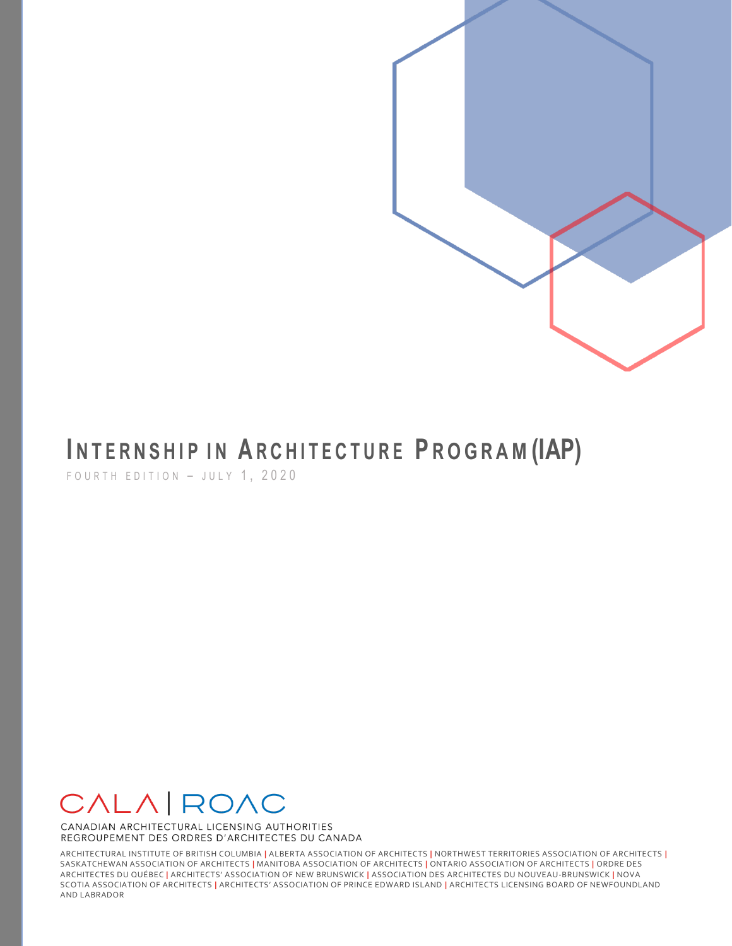

# **INTERNSHIP IN ARCHITECTURE PROGRAM (IAP)**

FOURTH EDITION - JULY  $1, 2020$ 



CANADIAN ARCHITECTURAL LICENSING AUTHORITIES REGROUPEMENT DES ORDRES D'ARCHITECTES DU CANADA

ARCHITECTURAL INSTITUTE OF BRITISH COLUMBIA **|** ALBERTA ASSOCIATION OF ARCHITECTS **|** NORTHWEST TERRITORIES ASSOCIATION OF ARCHITECTS **|**  SASKATCHEWAN ASSOCIATION OF ARCHITECTS **|** MANITOBA ASSOCIATION OF ARCHITECTS **|** ONTARIO ASSOCIATION OF ARCHITECTS **|** ORDRE DES ARCHITECTES DU QUÉBEC **|** ARCHITECTS' ASSOCIATION OF NEW BRUNSWICK **|** ASSOCIATION DES ARCHITECTES DU NOUVEAU-BRUNSWICK **|** NOVA SCOTIA ASSOCIATION OF ARCHITECTS **|** ARCHITECTS' ASSOCIATION OF PRINCE EDWARD ISLAND **|** ARCHITECTS LICENSING BOARD OF NEWFOUNDLAND AND LABRADOR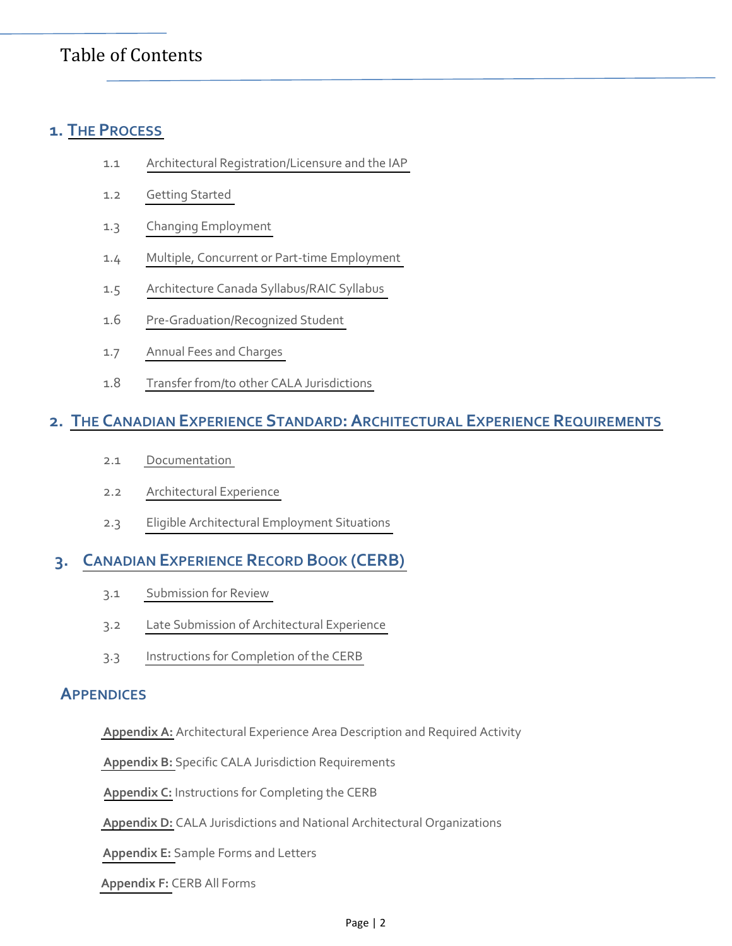## Table of Contents

## **1. THE P[ROCESS](#page-2-0)**

- 1.1 [Architectural Registration/Licensure and the IAP](#page-2-0)
- 1.2 [Getting Started](#page-3-0)
- 1.3 [Changing Employment](#page-5-0)
- 1.4 [Multiple, Concurrent or Part-time Employment](#page-6-0)
- 1.5 [Architecture Canada Syllabus/RAIC Syllabus](#page-6-0)
- 1.6 [Pre-Graduation/Recognized Student](#page-6-0)
- 1.7 [Annual Fees and Charges](#page-6-0)
- 1.8 [Transfer from/to other CALA Jurisdictions](#page-6-0)

## **2. THE CANADIAN EXPERIENCE STANDARD:A[RCHITECTURAL](#page-7-0) EXPERIENCE REQUIREMENTS**

- 2.1 [Documentation](#page-7-0)
- 2.2 [Architectural Experience](#page-7-0)
- 2.3 [Eligible Architectural Employment Situations](#page-9-0)

## **3. CANADIAN E[XPERIENCE](#page-10-0) RECORD BOOK (CERB)**

- 3.1 [Submission for Review](#page-10-0)
- 3.2 [Late Submission of Architectural Experience](#page-10-0)
- 3.3 [Instructions for Completion of the CERB](#page-10-0)

## **APPENDICES**

**[Appendix A:](#page-11-0)** Architectural Experience Area Description and Required Activity

**[Appendix B:](#page-21-0)** Specific CALA Jurisdiction Requirements

 **[Appendix C:](#page-22-0)** Instructions for Completing the CERB

 **[Appendix D:](#page-23-0)** CALA Jurisdictions and National Architectural Organizations

 **[Appendix E:](#page-24-0)** Sample Forms and Letters

 **[Appendix F:](#page-28-0)** CERB All Forms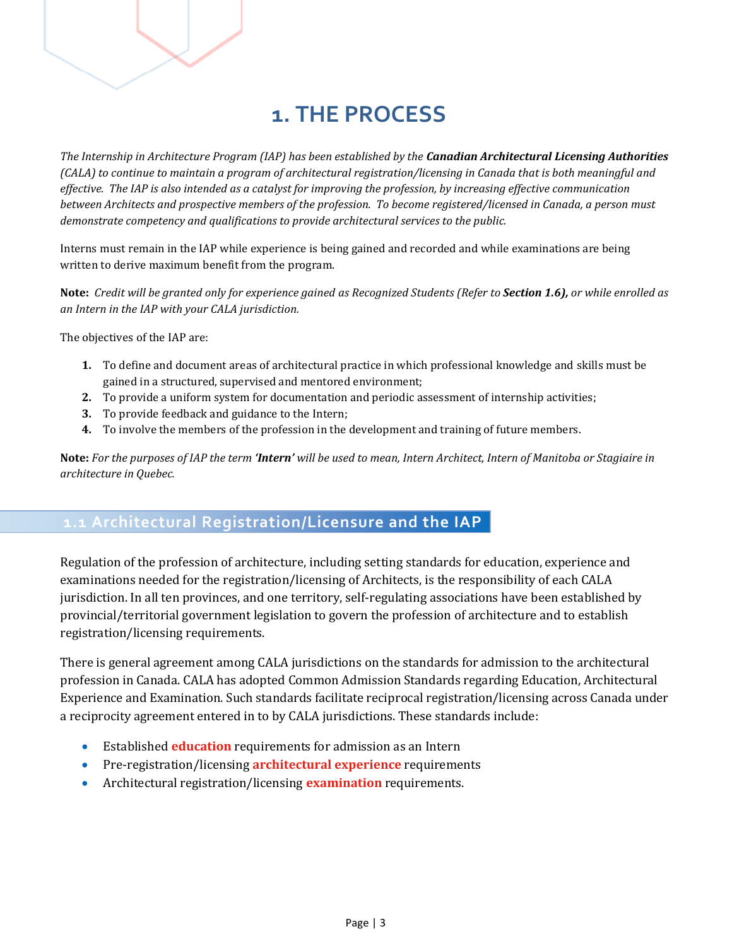## **1. THE PROCESS**

<span id="page-2-0"></span>*The Internship in Architecture Program (IAP) has been established by the Canadian Architectural Licensing Authorities (CALA) to continue to maintain a program of architectural registration/licensing in Canada that is both meaningful and effective. The IAP is also intended as a catalyst for improving the profession, by increasing effective communication between Architects and prospective members of the profession. To become registered/licensed in Canada, a person must demonstrate competency and qualifications to provide architectural services to the public.*

Interns must remain in the IAP while experience is being gained and recorded and while examinations are being written to derive maximum benefit from the program.

**Note:** *Credit will be granted only for experience gained as Recognized Students (Refer to Section 1.6), or while enrolled as an Intern in the IAP with your CALA jurisdiction.*

The objectives of the IAP are:

- **1.** To define and document areas of architectural practice in which professional knowledge and skills must be gained in a structured, supervised and mentored environment;
- **2.** To provide a uniform system for documentation and periodic assessment of internship activities;
- **3.** To provide feedback and guidance to the Intern;
- **4.** To involve the members of the profession in the development and training of future members.

**Note:** *For the purposes of IAP the term 'Intern' will be used to mean, Intern Architect, Intern of Manitoba or Stagiaire in architecture in Quebec.*

## **1.1 Architectural Registration/Licensure and the IAP**

Regulation of the profession of architecture, including setting standards for education, experience and examinations needed for the registration/licensing of Architects, is the responsibility of each CALA jurisdiction. In all ten provinces, and one territory, self-regulating associations have been established by provincial/territorial government legislation to govern the profession of architecture and to establish registration/licensing requirements.

There is general agreement among CALA jurisdictions on the standards for admission to the architectural profession in Canada. CALA has adopted Common Admission Standards regarding Education, Architectural Experience and Examination. Such standards facilitate reciprocal registration/licensing across Canada under a reciprocity agreement entered in to by CALA jurisdictions. These standards include:

- Established **education** requirements for admission as an Intern
- Pre-registration/licensing **architectural experience** requirements
- Architectural registration/licensing **examination** requirements.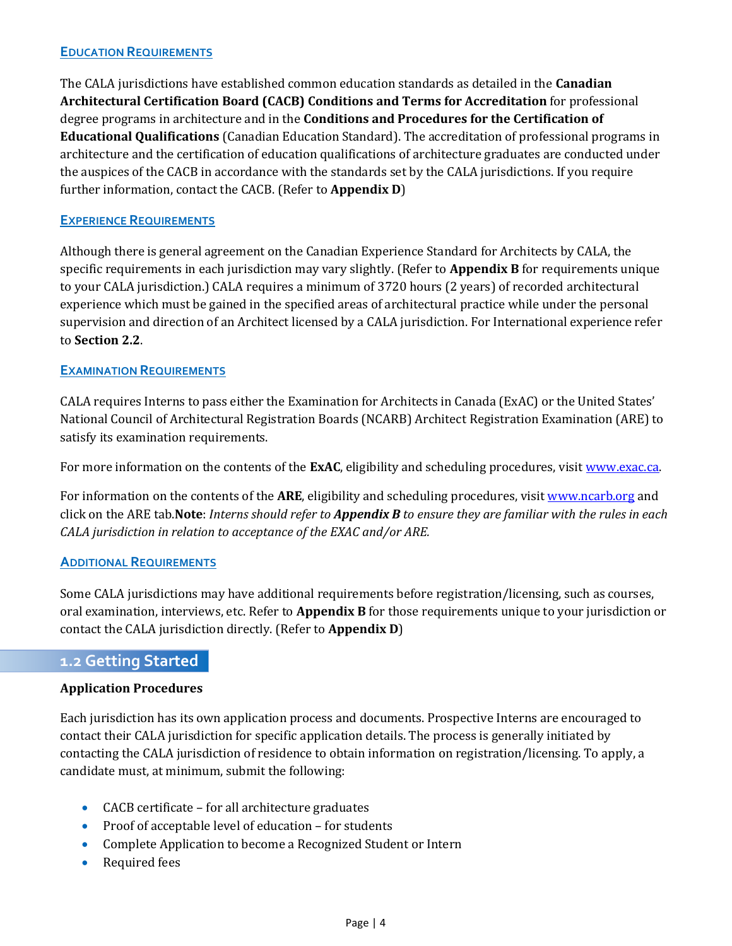## <span id="page-3-0"></span>**EDUCATION REQUIREMENTS**

The CALA jurisdictions have established common education standards as detailed in the **Canadian Architectural Certification Board (CACB) Conditions and Terms for Accreditation** for professional degree programs in architecture and in the **Conditions and Procedures for the Certification of Educational Qualifications** (Canadian Education Standard). The accreditation of professional programs in architecture and the certification of education qualifications of architecture graduates are conducted under the auspices of the CACB in accordance with the standards set by the CALA jurisdictions. If you require further information, contact the CACB. (Refer to **Appendix D**)

## **EXPERIENCE REQUIREMENTS**

Although there is general agreement on the Canadian Experience Standard for Architects by CALA, the specific requirements in each jurisdiction may vary slightly. (Refer to **Appendix B** for requirements unique to your CALA jurisdiction.) CALA requires a minimum of 3720 hours (2 years) of recorded architectural experience which must be gained in the specified areas of architectural practice while under the personal supervision and direction of an Architect licensed by a CALA jurisdiction. For International experience refer to **Section 2.2**.

## **EXAMINATION REQUIREMENTS**

CALA requires Interns to pass either the Examination for Architects in Canada (ExAC) or the United States' National Council of Architectural Registration Boards (NCARB) Architect Registration Examination (ARE) to satisfy its examination requirements.

For more information on the contents of the **ExAC**, eligibility and scheduling procedures, visit www.exac.ca.

For information on the contents of the **ARE**, eligibility and scheduling procedures, visit www.ncarb.org and click on the ARE tab.**Note**: *Interns should refer to Appendix B to ensure they are familiar with the rules in each CALA jurisdiction in relation to acceptance of the EXAC and/or ARE.*

### **ADDITIONAL REQUIREMENTS**

Some CALA jurisdictions may have additional requirements before registration/licensing, such as courses, oral examination, interviews, etc. Refer to **Appendix B** for those requirements unique to your jurisdiction or contact the CALA jurisdiction directly. (Refer to **Appendix D**)

## **1.2 Getting Started**

## **Application Procedures**

Each jurisdiction has its own application process and documents. Prospective Interns are encouraged to contact their CALA jurisdiction for specific application details. The process is generally initiated by contacting the CALA jurisdiction of residence to obtain information on registration/licensing. To apply, a candidate must, at minimum, submit the following:

- CACB certificate for all architecture graduates
- Proof of acceptable level of education for students
- Complete Application to become a Recognized Student or Intern
- Required fees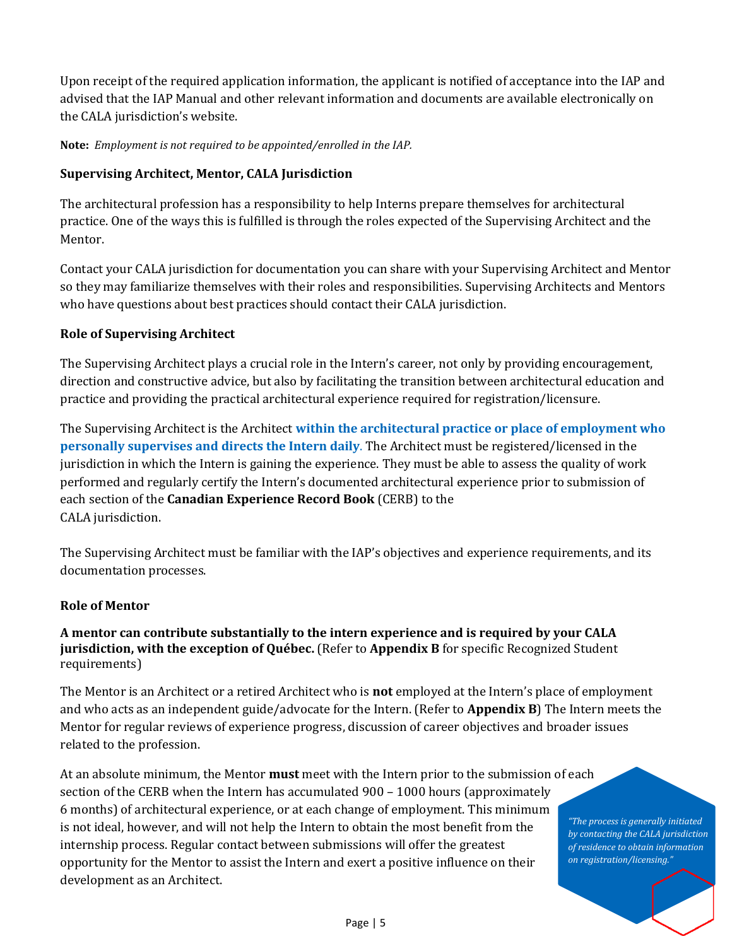Upon receipt of the required application information, the applicant is notified of acceptance into the IAP and advised that the IAP Manual and other relevant information and documents are available electronically on the CALA jurisdiction's website.

**Note:** *Employment is not required to be appointed/enrolled in the IAP.*

## **Supervising Architect, Mentor, CALA Jurisdiction**

The architectural profession has a responsibility to help Interns prepare themselves for architectural practice. One of the ways this is fulfilled is through the roles expected of the Supervising Architect and the Mentor.

Contact your CALA jurisdiction for documentation you can share with your Supervising Architect and Mentor so they may familiarize themselves with their roles and responsibilities. Supervising Architects and Mentors who have questions about best practices should contact their CALA jurisdiction.

### **Role of Supervising Architect**

The Supervising Architect plays a crucial role in the Intern's career, not only by providing encouragement, direction and constructive advice, but also by facilitating the transition between architectural education and practice and providing the practical architectural experience required for registration/licensure.

The Supervising Architect is the Architect **within the architectural practice or place of employment who personally supervises and directs the Intern daily**. The Architect must be registered/licensed in the jurisdiction in which the Intern is gaining the experience. They must be able to assess the quality of work performed and regularly certify the Intern's documented architectural experience prior to submission of each section of the **Canadian Experience Record Book** (CERB) to the CALA jurisdiction.

The Supervising Architect must be familiar with the IAP's objectives and experience requirements, and its documentation processes.

### **Role of Mentor**

**A mentor can contribute substantially to the intern experience and is required by your CALA jurisdiction, with the exception of Québec.** (Refer to **Appendix B** for specific Recognized Student requirements)

The Mentor is an Architect or a retired Architect who is **not** employed at the Intern's place of employment and who acts as an independent guide/advocate for the Intern. (Refer to **Appendix B**) The Intern meets the Mentor for regular reviews of experience progress, discussion of career objectives and broader issues related to the profession.

At an absolute minimum, the Mentor **must** meet with the Intern prior to the submission of each section of the CERB when the Intern has accumulated 900 – 1000 hours (approximately 6 months) of architectural experience, or at each change of employment. This minimum is not ideal, however, and will not help the Intern to obtain the most benefit from the internship process. Regular contact between submissions will offer the greatest opportunity for the Mentor to assist the Intern and exert a positive influence on their development as an Architect.

*"The process is generally initiated by contacting the CALA jurisdiction of residence to obtain information on registration/licensing."*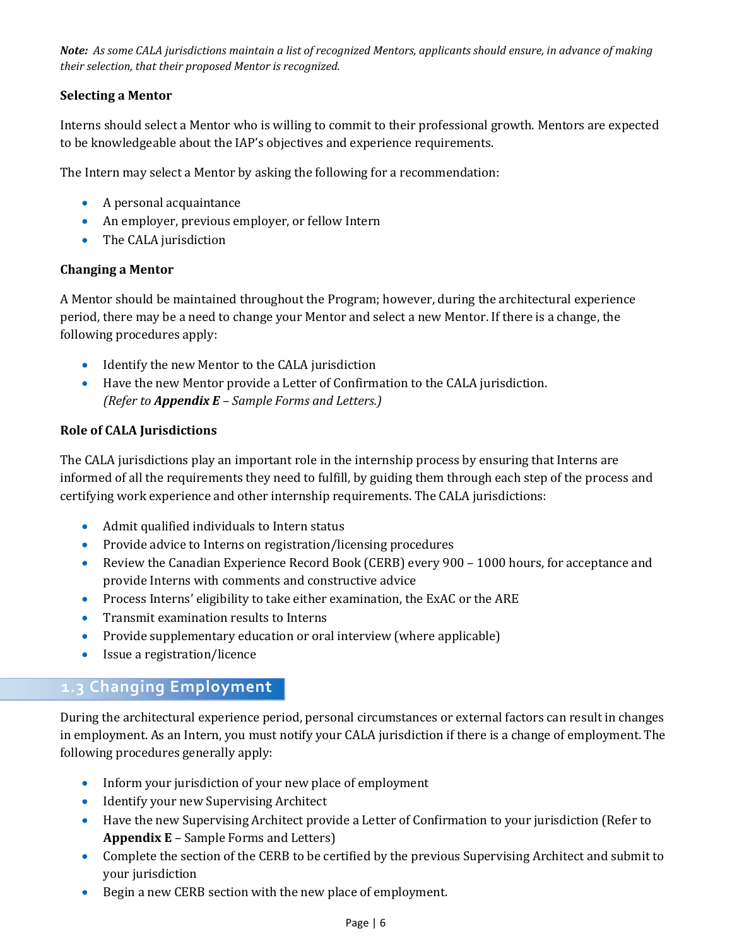<span id="page-5-0"></span>*Note: As some CALA jurisdictions maintain a list of recognized Mentors, applicants should ensure, in advance of making their selection, that their proposed Mentor is recognized.*

## **Selecting a Mentor**

Interns should select a Mentor who is willing to commit to their professional growth. Mentors are expected to be knowledgeable about the IAP's objectives and experience requirements.

The Intern may select a Mentor by asking the following for a recommendation:

- A personal acquaintance
- An employer, previous employer, or fellow Intern
- The CALA jurisdiction

## **Changing a Mentor**

A Mentor should be maintained throughout the Program; however, during the architectural experience period, there may be a need to change your Mentor and select a new Mentor. If there is a change, the following procedures apply:

- Identify the new Mentor to the CALA jurisdiction
- Have the new Mentor provide a Letter of Confirmation to the CALA jurisdiction. *(Refer to Appendix E – Sample Forms and Letters.)*

## **Role of CALA Jurisdictions**

The CALA jurisdictions play an important role in the internship process by ensuring that Interns are informed of all the requirements they need to fulfill, by guiding them through each step of the process and certifying work experience and other internship requirements. The CALA jurisdictions:

- Admit qualified individuals to Intern status
- Provide advice to Interns on registration/licensing procedures
- Review the Canadian Experience Record Book (CERB) every 900 1000 hours, for acceptance and provide Interns with comments and constructive advice
- Process Interns' eligibility to take either examination, the ExAC or the ARE
- Transmit examination results to Interns
- Provide supplementary education or oral interview (where applicable)
- Issue a registration/licence

## **1.3 Changing Employment**

During the architectural experience period, personal circumstances or external factors can result in changes in employment. As an Intern, you must notify your CALA jurisdiction if there is a change of employment. The following procedures generally apply:

- Inform your jurisdiction of your new place of employment
- Identify your new Supervising Architect
- Have the new Supervising Architect provide a Letter of Confirmation to your jurisdiction (Refer to **Appendix E** – Sample Forms and Letters)
- Complete the section of the CERB to be certified by the previous Supervising Architect and submit to your jurisdiction
- Begin a new CERB section with the new place of employment.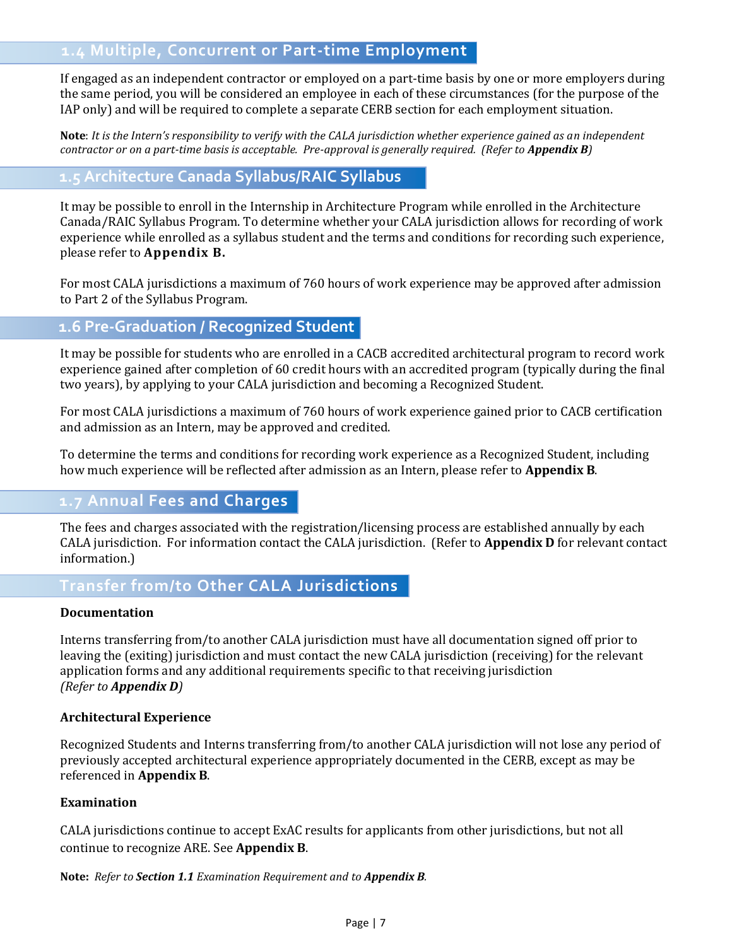## <span id="page-6-0"></span>**1.4 Multiple, Concurrent or Part-time Employment**

If engaged as an independent contractor or employed on a part-time basis by one or more employers during the same period, you will be considered an employee in each of these circumstances (for the purpose of the IAP only) and will be required to complete a separate CERB section for each employment situation.

**Note**: *It is the Intern's responsibility to verify with the CALA jurisdiction whether experience gained as an independent contractor or on a part-time basis is acceptable. Pre-approval is generally required. (Refer to Appendix B)* 

## **1.5 Architecture Canada Syllabus/RAIC Syllabus**

It may be possible to enroll in the Internship in Architecture Program while enrolled in the Architecture Canada/RAIC Syllabus Program. To determine whether your CALA jurisdiction allows for recording of work experience while enrolled as a syllabus student and the terms and conditions for recording such experience, please refer to **Appendix B.**

For most CALA jurisdictions a maximum of 760 hours of work experience may be approved after admission to Part 2 of the Syllabus Program.

## **1.6 Pre-Graduation / Recognized Student**

It may be possible for students who are enrolled in a CACB accredited architectural program to record work experience gained after completion of 60 credit hours with an accredited program (typically during the final two years), by applying to your CALA jurisdiction and becoming a Recognized Student.

For most CALA jurisdictions a maximum of 760 hours of work experience gained prior to CACB certification and admission as an Intern, may be approved and credited.

To determine the terms and conditions for recording work experience as a Recognized Student, including how much experience will be reflected after admission as an Intern, please refer to **Appendix B**.

## **1.7 Annual Fees and Charges**

The fees and charges associated with the registration/licensing process are established annually by each CALA jurisdiction. For information contact the CALA jurisdiction. (Refer to **Appendix D** for relevant contact information.)

## **Transfer from/to Other CALA Jurisdictions**

#### **Documentation**

Interns transferring from/to another CALA jurisdiction must have all documentation signed off prior to leaving the (exiting) jurisdiction and must contact the new CALA jurisdiction (receiving) for the relevant application forms and any additional requirements specific to that receiving jurisdiction *(Refer to Appendix D)*

### **Architectural Experience**

Recognized Students and Interns transferring from/to another CALA jurisdiction will not lose any period of previously accepted architectural experience appropriately documented in the CERB, except as may be referenced in **Appendix B**.

#### **Examination**

CALA jurisdictions continue to accept ExAC results for applicants from other jurisdictions, but not all continue to recognize ARE. See **Appendix B**.

#### **Note:** *Refer to Section 1.1 Examination Requirement and to Appendix B.*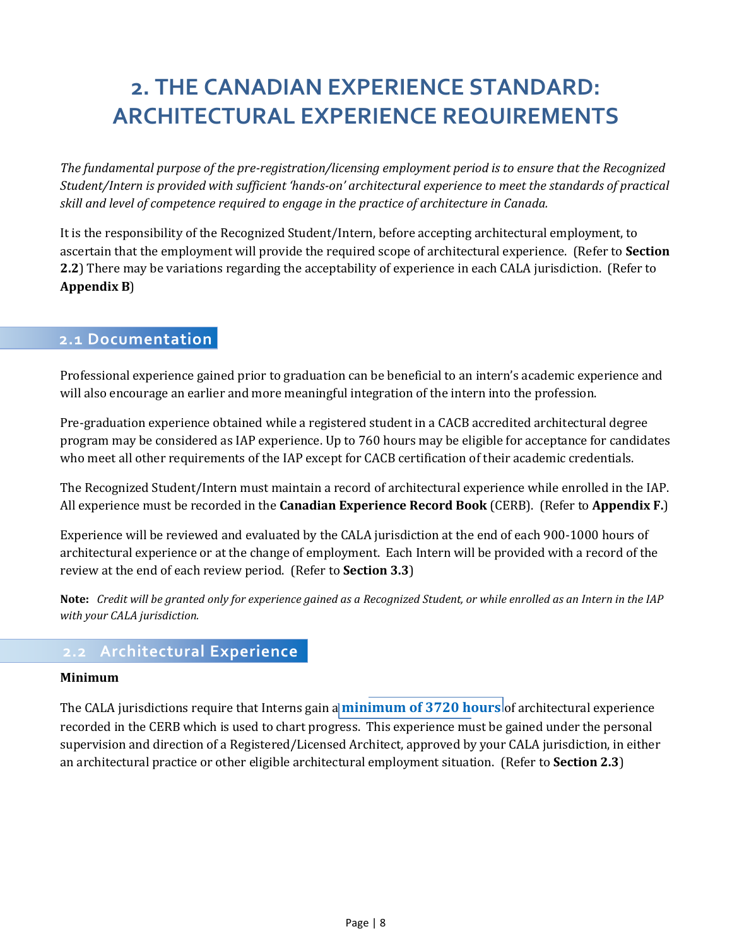## <span id="page-7-0"></span>**2. THE CANADIAN EXPERIENCE STANDARD: ARCHITECTURAL EXPERIENCE REQUIREMENTS**

*The fundamental purpose of the pre-registration/licensing employment period is to ensure that the Recognized Student/Intern is provided with sufficient 'hands-on' architectural experience to meet the standards of practical skill and level of competence required to engage in the practice of architecture in Canada.* 

It is the responsibility of the Recognized Student/Intern, before accepting architectural employment, to ascertain that the employment will provide the required scope of architectural experience. (Refer to **Section 2.2**) There may be variations regarding the acceptability of experience in each CALA jurisdiction. (Refer to **Appendix B**)

## **2.1 Documentation**

Professional experience gained prior to graduation can be beneficial to an intern's academic experience and will also encourage an earlier and more meaningful integration of the intern into the profession.

Pre-graduation experience obtained while a registered student in a CACB accredited architectural degree program may be considered as IAP experience. Up to 760 hours may be eligible for acceptance for candidates who meet all other requirements of the IAP except for CACB certification of their academic credentials.

The Recognized Student/Intern must maintain a record of architectural experience while enrolled in the IAP. All experience must be recorded in the **Canadian Experience Record Book** (CERB). (Refer to **Appendix F.**)

Experience will be reviewed and evaluated by the CALA jurisdiction at the end of each 900-1000 hours of architectural experience or at the change of employment. Each Intern will be provided with a record of the review at the end of each review period. (Refer to **Section 3.3**)

**Note:** *Credit will be granted only for experience gained as a Recognized Student, or while enrolled as an Intern in the IAP with your CALA jurisdiction.*

## **2.2 Architectural Experience**

### **Minimum**

The CALA jurisdictions require that Interns gain a **minimum of 3720 hours** of architectural experience recorded in the CERB which is used to chart progress. This experience must be gained under the personal supervision and direction of a Registered/Licensed Architect, approved by your CALA jurisdiction, in either an architectural practice or other eligible architectural employment situation. (Refer to **Section 2.3**)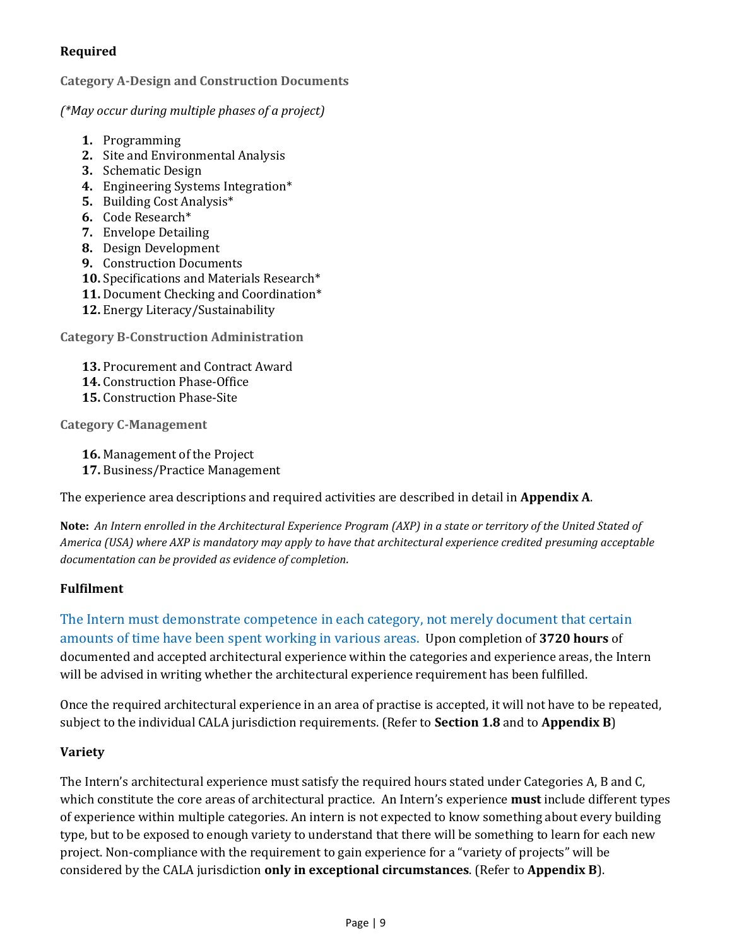## **Required**

**Category A-Design and Construction Documents**

### *(\*May occur during multiple phases of a project)*

- **1.** Programming
- **2.** Site and Environmental Analysis
- **3.** Schematic Design
- **4.** Engineering Systems Integration\*
- **5.** Building Cost Analysis\*
- **6.** Code Research\*
- **7.** Envelope Detailing
- **8.** Design Development
- **9.** Construction Documents
- **10.** Specifications and Materials Research\*
- **11.** Document Checking and Coordination\*
- **12.** Energy Literacy/Sustainability

**Category B-Construction Administration**

- **13.** Procurement and Contract Award **14.** Construction Phase-Office
- **15.** Construction Phase-Site

**Category C-Management**

**16.** Management of the Project

**17.** Business/Practice Management

The experience area descriptions and required activities are described in detail in **Appendix A**.

**Note:** *An Intern enrolled in the Architectural Experience Program (AXP) in a state or territory of the United Stated of America (USA) where AXP is mandatory may apply to have that architectural experience credited presuming acceptable documentation can be provided as evidence of completion.*

### **Fulfilment**

The Intern must demonstrate competence in each category, not merely document that certain amounts of time have been spent working in various areas. Upon completion of **3720 hours** of documented and accepted architectural experience within the categories and experience areas, the Intern will be advised in writing whether the architectural experience requirement has been fulfilled.

Once the required architectural experience in an area of practise is accepted, it will not have to be repeated, subject to the individual CALA jurisdiction requirements. (Refer to **Section 1.8** and to **Appendix B**)

## **Variety**

The Intern's architectural experience must satisfy the required hours stated under Categories A, B and C, which constitute the core areas of architectural practice. An Intern's experience **must** include different types of experience within multiple categories. An intern is not expected to know something about every building type, but to be exposed to enough variety to understand that there will be something to learn for each new project. Non-compliance with the requirement to gain experience for a "variety of projects" will be considered by the CALA jurisdiction **only in exceptional circumstances**. (Refer to **Appendix B**).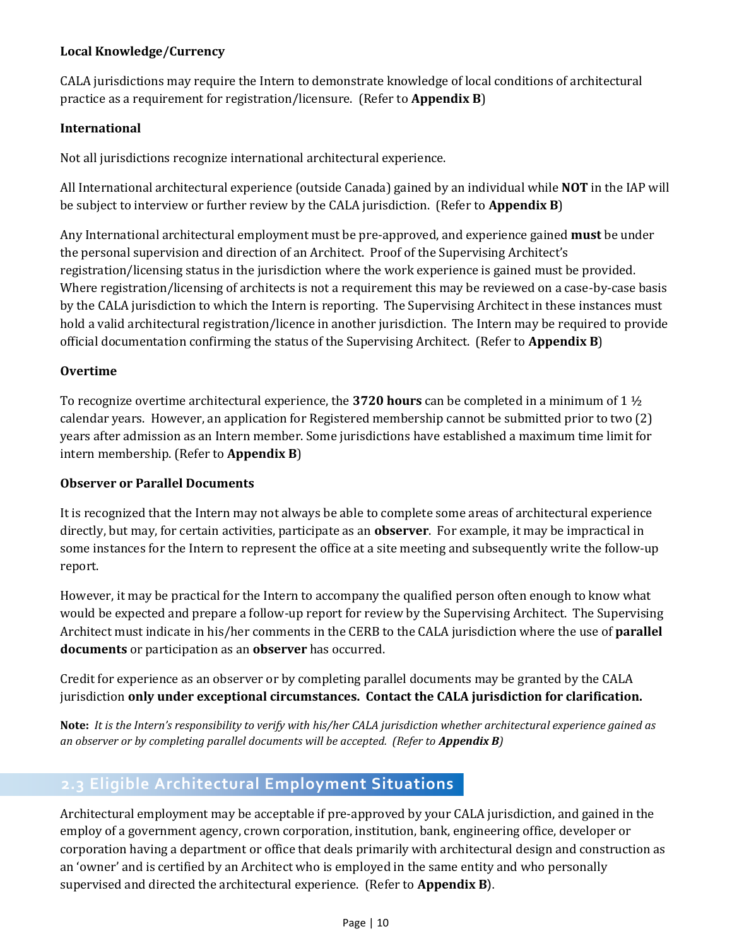## <span id="page-9-0"></span>**Local Knowledge/Currency**

CALA jurisdictions may require the Intern to demonstrate knowledge of local conditions of architectural practice as a requirement for registration/licensure. (Refer to **Appendix B**)

## **International**

Not all jurisdictions recognize international architectural experience.

All International architectural experience (outside Canada) gained by an individual while **NOT** in the IAP will be subject to interview or further review by the CALA jurisdiction. (Refer to **Appendix B**)

Any International architectural employment must be pre-approved, and experience gained **must** be under the personal supervision and direction of an Architect. Proof of the Supervising Architect's registration/licensing status in the jurisdiction where the work experience is gained must be provided. Where registration/licensing of architects is not a requirement this may be reviewed on a case-by-case basis by the CALA jurisdiction to which the Intern is reporting. The Supervising Architect in these instances must hold a valid architectural registration/licence in another jurisdiction. The Intern may be required to provide official documentation confirming the status of the Supervising Architect. (Refer to **Appendix B**)

## **Overtime**

To recognize overtime architectural experience, the **3720 hours** can be completed in a minimum of 1 ½ calendar years. However, an application for Registered membership cannot be submitted prior to two (2) years after admission as an Intern member. Some jurisdictions have established a maximum time limit for intern membership. (Refer to **Appendix B**)

### **Observer or Parallel Documents**

It is recognized that the Intern may not always be able to complete some areas of architectural experience directly, but may, for certain activities, participate as an **observer**. For example, it may be impractical in some instances for the Intern to represent the office at a site meeting and subsequently write the follow-up report.

However, it may be practical for the Intern to accompany the qualified person often enough to know what would be expected and prepare a follow-up report for review by the Supervising Architect. The Supervising Architect must indicate in his/her comments in the CERB to the CALA jurisdiction where the use of **parallel documents** or participation as an **observer** has occurred.

Credit for experience as an observer or by completing parallel documents may be granted by the CALA jurisdiction **only under exceptional circumstances. Contact the CALA jurisdiction for clarification.**

**Note:** *It is the Intern's responsibility to verify with his/her CALA jurisdiction whether architectural experience gained as an observer or by completing parallel documents will be accepted. (Refer to Appendix B)*

## **2.3 Eligible Architectural Employment Situations**

Architectural employment may be acceptable if pre-approved by your CALA jurisdiction, and gained in the employ of a government agency, crown corporation, institution, bank, engineering office, developer or corporation having a department or office that deals primarily with architectural design and construction as an 'owner' and is certified by an Architect who is employed in the same entity and who personally supervised and directed the architectural experience. (Refer to **Appendix B**).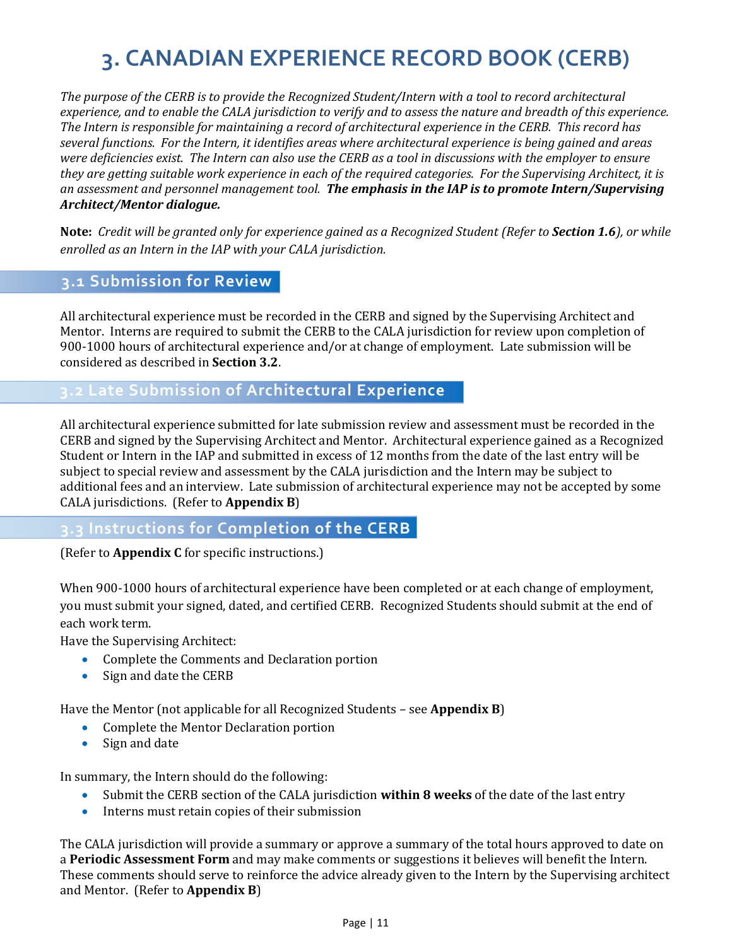## **3. CANADIAN EXPERIENCE RECORD BOOK (CERB)**

<span id="page-10-0"></span>*The purpose of the CERB is to provide the Recognized Student/Intern with a tool to record architectural experience, and to enable the CALA jurisdiction to verify and to assess the nature and breadth of this experience. The Intern is responsible for maintaining a record of architectural experience in the CERB. This record has several functions. For the Intern, it identifies areas where architectural experience is being gained and areas were deficiencies exist. The Intern can also use the CERB as a tool in discussions with the employer to ensure they are getting suitable work experience in each of the required categories. For the Supervising Architect, it is an assessment and personnel management tool. The emphasis in the IAP is to promote Intern/Supervising Architect/Mentor dialogue.*

**Note:** *Credit will be granted only for experience gained as a Recognized Student (Refer to Section 1.6), or while enrolled as an Intern in the IAP with your CALA jurisdiction.*

## **3.1 Submission for Review**

All architectural experience must be recorded in the CERB and signed by the Supervising Architect and Mentor. Interns are required to submit the CERB to the CALA jurisdiction for review upon completion of 900-1000 hours of architectural experience and/or at change of employment. Late submission will be considered as described in **Section 3.2**.

## **3.2 Late Submission of Architectural Experience**

All architectural experience submitted for late submission review and assessment must be recorded in the CERB and signed by the Supervising Architect and Mentor. Architectural experience gained as a Recognized Student or Intern in the IAP and submitted in excess of 12 months from the date of the last entry will be subject to special review and assessment by the CALA jurisdiction and the Intern may be subject to additional fees and an interview. Late submission of architectural experience may not be accepted by some CALA jurisdictions. (Refer to **Appendix B**)

## **3.3 Instructions for Completion of the CERB**

(Refer to **Appendix C** for specific instructions.)

When 900-1000 hours of architectural experience have been completed or at each change of employment, you must submit your signed, dated, and certified CERB. Recognized Students should submit at the end of each work term.

Have the Supervising Architect:

- Complete the Comments and Declaration portion
- Sign and date the CERB

Have the Mentor (not applicable for all Recognized Students – see **Appendix B**)

- Complete the Mentor Declaration portion
- Sign and date

In summary, the Intern should do the following:

- Submit the CERB section of the CALA jurisdiction **within 8 weeks** of the date of the last entry
- Interns must retain copies of their submission

The CALA jurisdiction will provide a summary or approve a summary of the total hours approved to date on a **Periodic Assessment Form** and may make comments or suggestions it believes will benefit the Intern. These comments should serve to reinforce the advice already given to the Intern by the Supervising architect and Mentor. (Refer to **Appendix B**)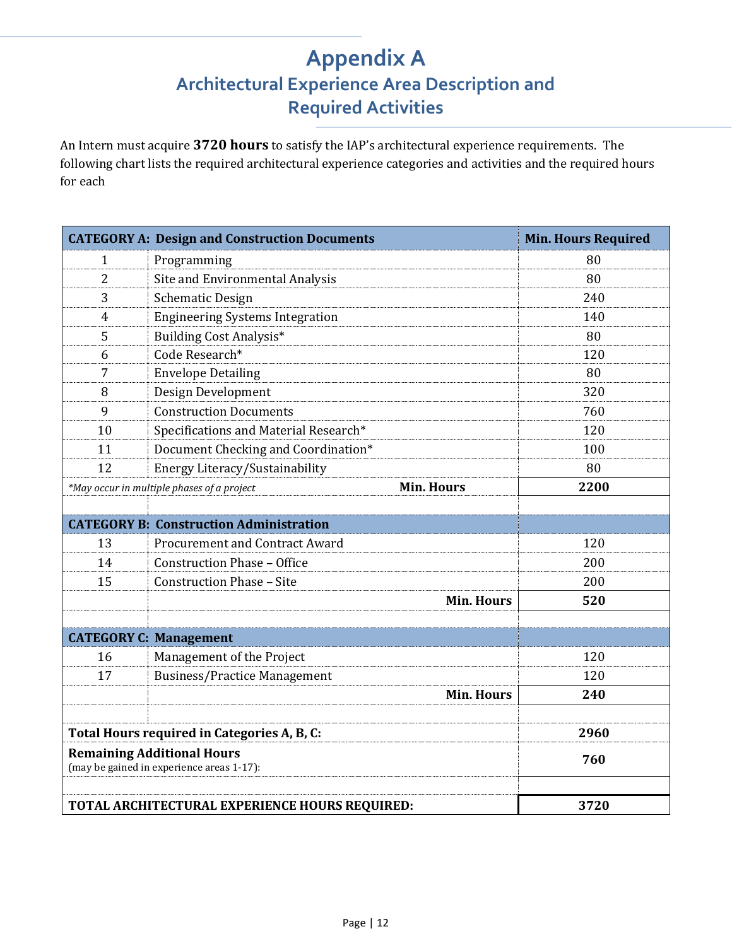## **Appendix A Architectural Experience Area Description and Required Activities**

<span id="page-11-0"></span>An Intern must acquire **3720 hours** to satisfy the IAP's architectural experience requirements. The following chart lists the required architectural experience categories and activities and the required hours for each

|                | <b>CATEGORY A: Design and Construction Documents</b>            | <b>Min. Hours Required</b> |
|----------------|-----------------------------------------------------------------|----------------------------|
| $\mathbf{1}$   | Programming                                                     | 80                         |
| $\overline{2}$ | Site and Environmental Analysis                                 | 80                         |
| 3              | <b>Schematic Design</b>                                         | 240                        |
| $\overline{4}$ | <b>Engineering Systems Integration</b>                          | 140                        |
| 5              | Building Cost Analysis*                                         | 80                         |
| 6              | Code Research*                                                  | 120                        |
| 7              | <b>Envelope Detailing</b>                                       | 80                         |
| 8              | Design Development                                              | 320                        |
| 9              | <b>Construction Documents</b>                                   | 760                        |
| 10             | Specifications and Material Research*                           | 120                        |
| 11             | Document Checking and Coordination*                             | 100                        |
| 12             | Energy Literacy/Sustainability                                  | 80                         |
|                | <b>Min. Hours</b><br>*May occur in multiple phases of a project | 2200                       |
|                |                                                                 |                            |
|                | <b>CATEGORY B: Construction Administration</b>                  |                            |
| 13             | <b>Procurement and Contract Award</b>                           | 120                        |
| 14             | <b>Construction Phase - Office</b>                              | 200                        |
| 15             | <b>Construction Phase - Site</b>                                | 200                        |
|                | <b>Min. Hours</b>                                               | 520                        |
|                |                                                                 |                            |
|                | <b>CATEGORY C: Management</b>                                   |                            |
| 16             | Management of the Project                                       | 120                        |
| 17             | <b>Business/Practice Management</b>                             | 120                        |
|                | <b>Min. Hours</b>                                               | 240                        |
|                | Total Hours required in Categories A, B, C:                     | 2960                       |
|                | <b>Remaining Additional Hours</b>                               |                            |
|                | (may be gained in experience areas 1-17):                       | 760                        |
|                |                                                                 |                            |
|                | TOTAL ARCHITECTURAL EXPERIENCE HOURS REQUIRED:                  | 3720                       |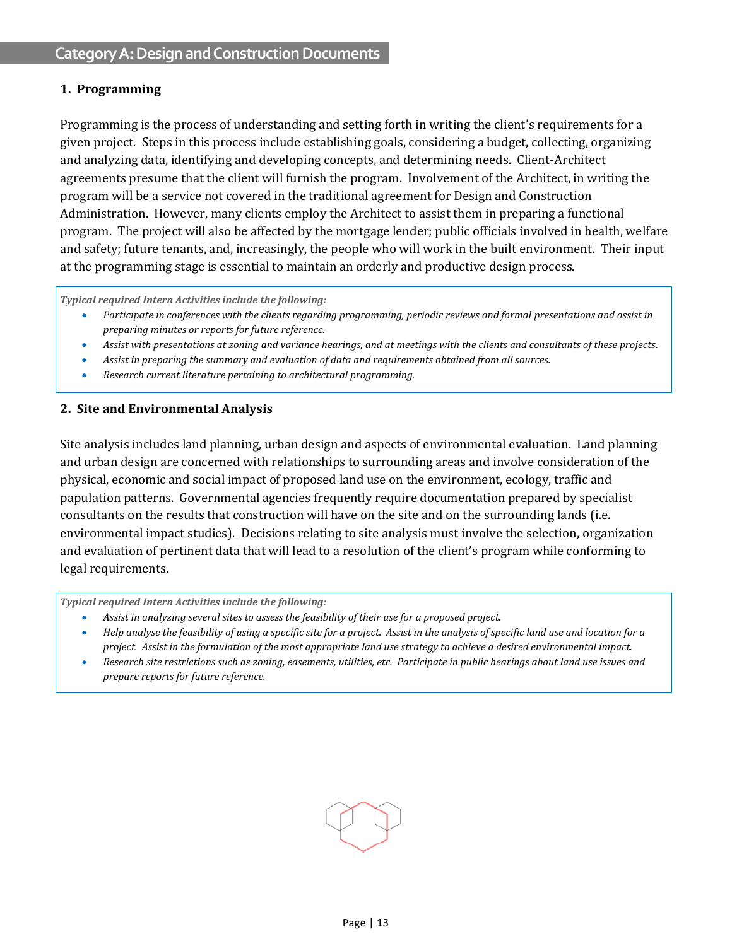### **1. Programming**

Programming is the process of understanding and setting forth in writing the client's requirements for a given project. Steps in this process include establishing goals, considering a budget, collecting, organizing and analyzing data, identifying and developing concepts, and determining needs. Client-Architect agreements presume that the client will furnish the program. Involvement of the Architect, in writing the program will be a service not covered in the traditional agreement for Design and Construction Administration. However, many clients employ the Architect to assist them in preparing a functional program. The project will also be affected by the mortgage lender; public officials involved in health, welfare and safety; future tenants, and, increasingly, the people who will work in the built environment. Their input at the programming stage is essential to maintain an orderly and productive design process.

*Typical required Intern Activities include the following:*

- *Participate in conferences with the clients regarding programming, periodic reviews and formal presentations and assist in preparing minutes or reports for future reference.*
- *Assist with presentations at zoning and variance hearings, and at meetings with the clients and consultants of these projects.*
- *Assist in preparing the summary and evaluation of data and requirements obtained from all sources.*
- *Research current literature pertaining to architectural programming.*

#### **2. Site and Environmental Analysis**

Site analysis includes land planning, urban design and aspects of environmental evaluation. Land planning and urban design are concerned with relationships to surrounding areas and involve consideration of the physical, economic and social impact of proposed land use on the environment, ecology, traffic and papulation patterns. Governmental agencies frequently require documentation prepared by specialist consultants on the results that construction will have on the site and on the surrounding lands (i.e. environmental impact studies). Decisions relating to site analysis must involve the selection, organization and evaluation of pertinent data that will lead to a resolution of the client's program while conforming to legal requirements.

- *Assist in analyzing several sites to assess the feasibility of their use for a proposed project.*
- *Help analyse the feasibility of using a specific site for a project. Assist in the analysis of specific land use and location for a project. Assist in the formulation of the most appropriate land use strategy to achieve a desired environmental impact.*
- *Research site restrictions such as zoning, easements, utilities, etc. Participate in public hearings about land use issues and prepare reports for future reference.*

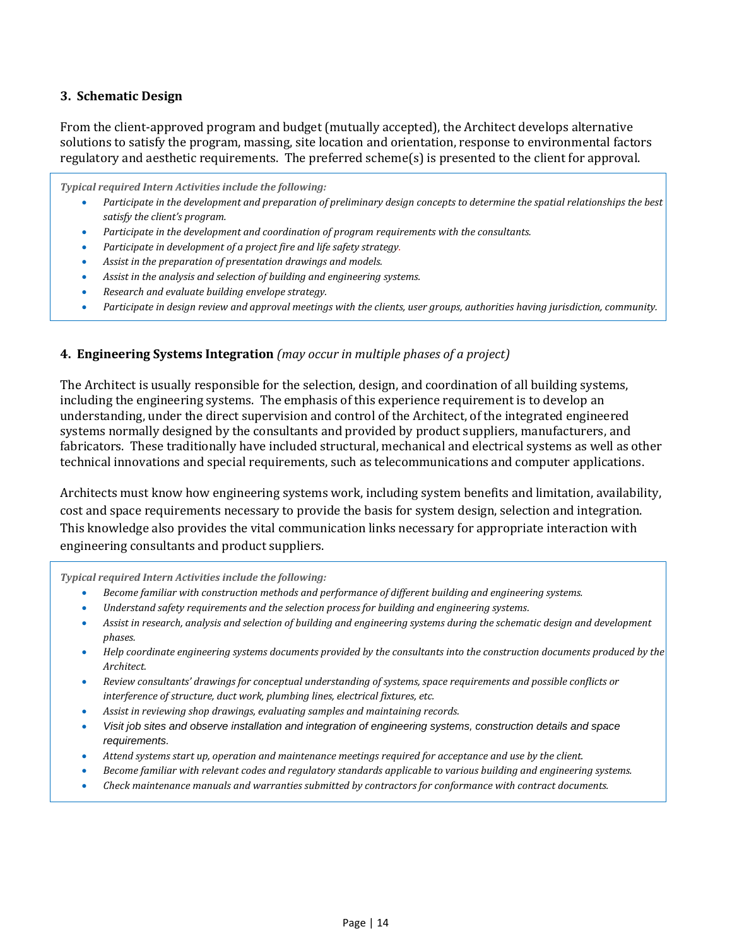### **3. Schematic Design**

From the client-approved program and budget (mutually accepted), the Architect develops alternative solutions to satisfy the program, massing, site location and orientation, response to environmental factors regulatory and aesthetic requirements. The preferred scheme(s) is presented to the client for approval.

*Typical required Intern Activities include the following:*

- *Participate in the development and preparation of preliminary design concepts to determine the spatial relationships the best satisfy the client's program.*
- *Participate in the development and coordination of program requirements with the consultants.*
- *Participate in development of a project fire and life safety strategy.*
- *Assist in the preparation of presentation drawings and models.*
- *Assist in the analysis and selection of building and engineering systems.*
- *Research and evaluate building envelope strategy.*
- *Participate in design review and approval meetings with the clients, user groups, authorities having jurisdiction, community.*

#### **4. Engineering Systems Integration** *(may occur in multiple phases of a project)*

The Architect is usually responsible for the selection, design, and coordination of all building systems, including the engineering systems. The emphasis of this experience requirement is to develop an understanding, under the direct supervision and control of the Architect, of the integrated engineered systems normally designed by the consultants and provided by product suppliers, manufacturers, and fabricators. These traditionally have included structural, mechanical and electrical systems as well as other technical innovations and special requirements, such as telecommunications and computer applications.

Architects must know how engineering systems work, including system benefits and limitation, availability, cost and space requirements necessary to provide the basis for system design, selection and integration. This knowledge also provides the vital communication links necessary for appropriate interaction with engineering consultants and product suppliers.

- *Become familiar with construction methods and performance of different building and engineering systems.*
- *Understand safety requirements and the selection process for building and engineering systems.*
- *Assist in research, analysis and selection of building and engineering systems during the schematic design and development phases.*
- *Help coordinate engineering systems documents provided by the consultants into the construction documents produced by the Architect.*
- *Review consultants' drawings for conceptual understanding of systems, space requirements and possible conflicts or interference of structure, duct work, plumbing lines, electrical fixtures, etc.*
- *Assist in reviewing shop drawings, evaluating samples and maintaining records.*
- *Visit job sites and observe installation and integration of engineering systems, construction details and space requirements.*
- *Attend systems start up, operation and maintenance meetings required for acceptance and use by the client.*
- *Become familiar with relevant codes and regulatory standards applicable to various building and engineering systems.*
- *Check maintenance manuals and warranties submitted by contractors for conformance with contract documents.*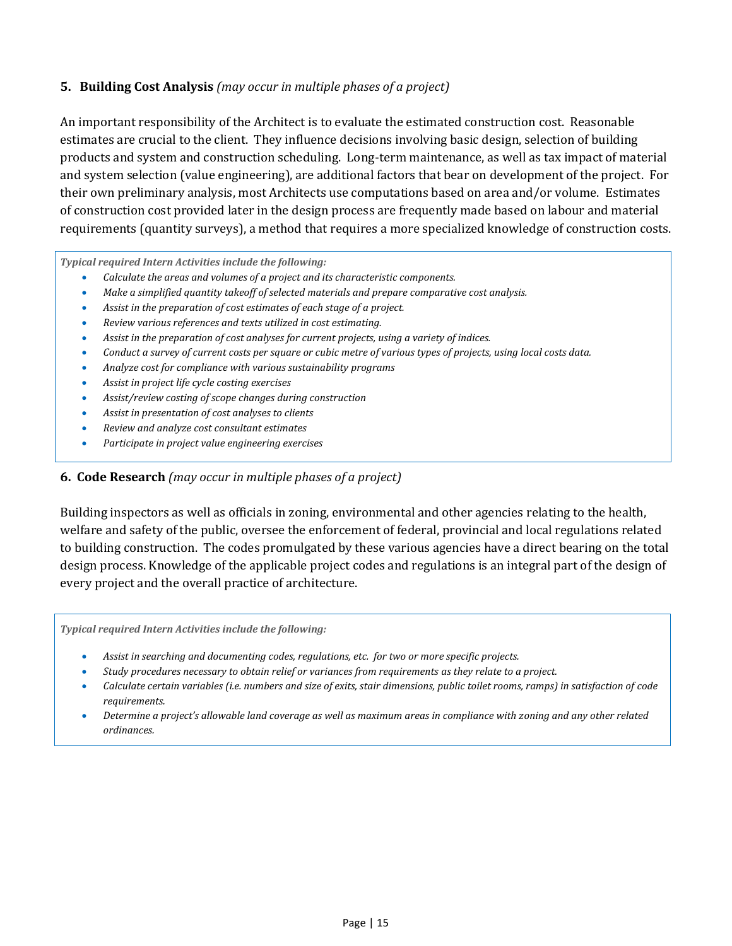## **5. Building Cost Analysis** *(may occur in multiple phases of a project)*

An important responsibility of the Architect is to evaluate the estimated construction cost. Reasonable estimates are crucial to the client. They influence decisions involving basic design, selection of building products and system and construction scheduling. Long-term maintenance, as well as tax impact of material and system selection (value engineering), are additional factors that bear on development of the project. For their own preliminary analysis, most Architects use computations based on area and/or volume. Estimates of construction cost provided later in the design process are frequently made based on labour and material requirements (quantity surveys), a method that requires a more specialized knowledge of construction costs.

*Typical required Intern Activities include the following:*

- *Calculate the areas and volumes of a project and its characteristic components.*
- *Make a simplified quantity takeoff of selected materials and prepare comparative cost analysis.*
- *Assist in the preparation of cost estimates of each stage of a project.*
- *Review various references and texts utilized in cost estimating.*
- *Assist in the preparation of cost analyses for current projects, using a variety of indices.*
- *Conduct a survey of current costs per square or cubic metre of various types of projects, using local costs data.*
- *Analyze cost for compliance with various sustainability programs*
- *Assist in project life cycle costing exercises*
- *Assist/review costing of scope changes during construction*
- *Assist in presentation of cost analyses to clients*
- *Review and analyze cost consultant estimates*
- *Participate in project value engineering exercises*

### **6. Code Research** *(may occur in multiple phases of a project)*

Building inspectors as well as officials in zoning, environmental and other agencies relating to the health, welfare and safety of the public, oversee the enforcement of federal, provincial and local regulations related to building construction. The codes promulgated by these various agencies have a direct bearing on the total design process. Knowledge of the applicable project codes and regulations is an integral part of the design of every project and the overall practice of architecture.

- *Assist in searching and documenting codes, regulations, etc. for two or more specific projects.*
- *Study procedures necessary to obtain relief or variances from requirements as they relate to a project.*
- *Calculate certain variables (i.e. numbers and size of exits, stair dimensions, public toilet rooms, ramps) in satisfaction of code requirements.*
- *Determine a project's allowable land coverage as well as maximum areas in compliance with zoning and any other related ordinances.*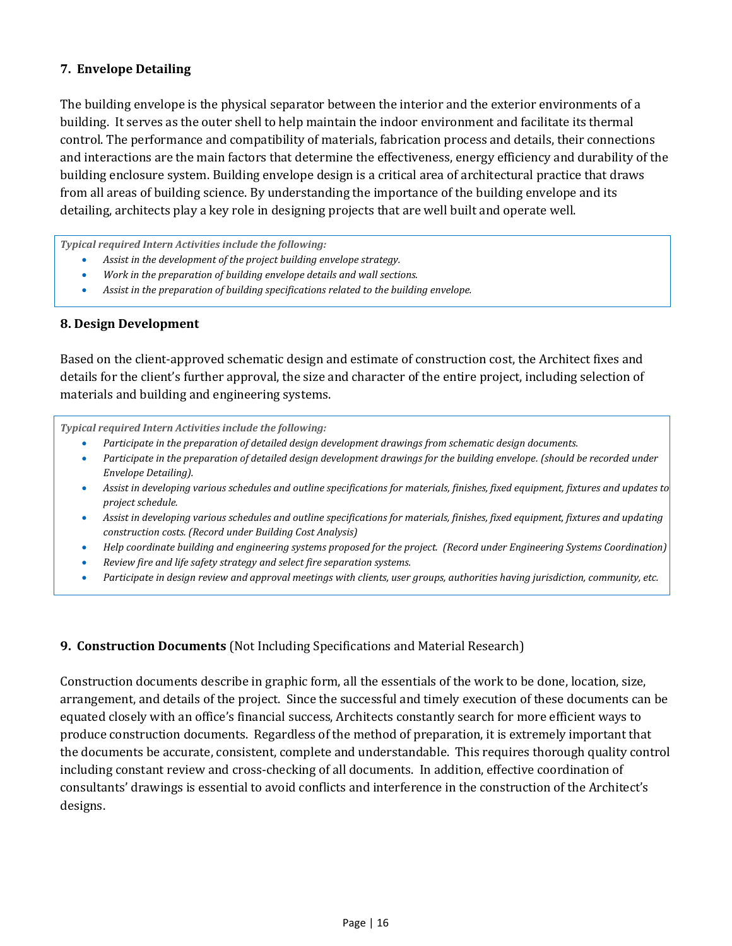## **7. Envelope Detailing**

The building envelope is the physical separator between the interior and the exterior environments of a building. It serves as the outer shell to help maintain the indoor environment and facilitate its thermal control. The performance and compatibility of materials, fabrication process and details, their connections and interactions are the main factors that determine the effectiveness, energy efficiency and durability of the building enclosure system. Building envelope design is a critical area of architectural practice that draws from all areas of building science. By understanding the importance of the building envelope and its detailing, architects play a key role in designing projects that are well built and operate well.

*Typical required Intern Activities include the following:*

- *Assist in the development of the project building envelope strategy.*
- *Work in the preparation of building envelope details and wall sections.*
- *Assist in the preparation of building specifications related to the building envelope.*

#### **8. Design Development**

Based on the client-approved schematic design and estimate of construction cost, the Architect fixes and details for the client's further approval, the size and character of the entire project, including selection of materials and building and engineering systems.

*Typical required Intern Activities include the following:*

- *Participate in the preparation of detailed design development drawings from schematic design documents.*
- *Participate in the preparation of detailed design development drawings for the building envelope. (should be recorded under Envelope Detailing).*
- *Assist in developing various schedules and outline specifications for materials, finishes, fixed equipment, fixtures and updates to project schedule.*
- *Assist in developing various schedules and outline specifications for materials, finishes, fixed equipment, fixtures and updating construction costs. (Record under Building Cost Analysis)*
- *Help coordinate building and engineering systems proposed for the project. (Record under Engineering Systems Coordination)*
- *Review fire and life safety strategy and select fire separation systems.*
- *Participate in design review and approval meetings with clients, user groups, authorities having jurisdiction, community, etc.*

#### **9. Construction Documents** (Not Including Specifications and Material Research)

Construction documents describe in graphic form, all the essentials of the work to be done, location, size, arrangement, and details of the project. Since the successful and timely execution of these documents can be equated closely with an office's financial success, Architects constantly search for more efficient ways to produce construction documents. Regardless of the method of preparation, it is extremely important that the documents be accurate, consistent, complete and understandable. This requires thorough quality control including constant review and cross-checking of all documents. In addition, effective coordination of consultants' drawings is essential to avoid conflicts and interference in the construction of the Architect's designs.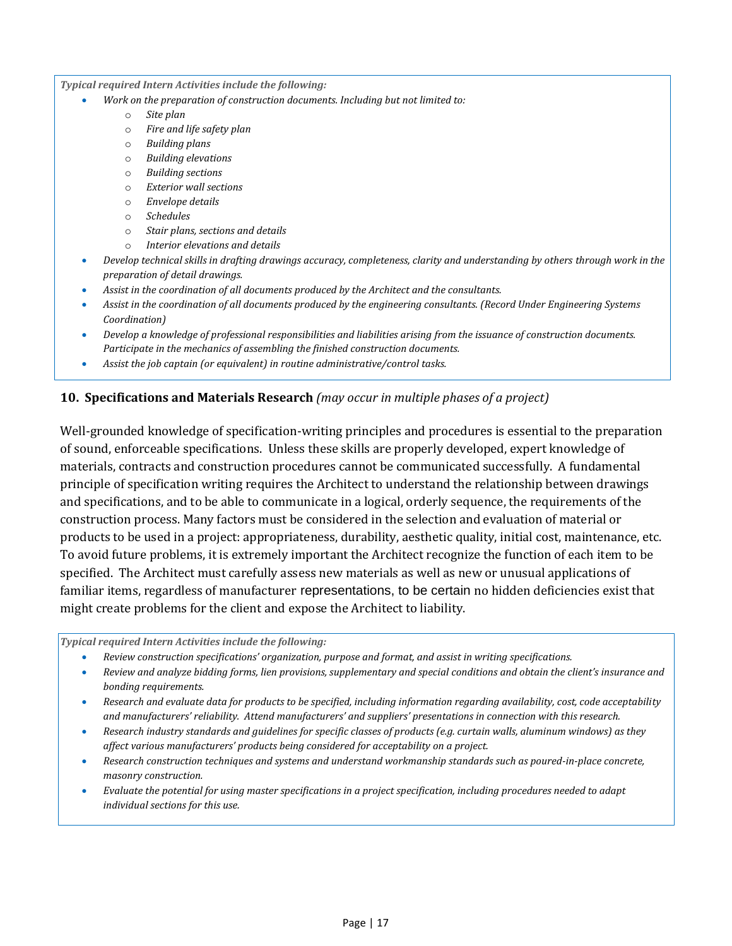*Typical required Intern Activities include the following:*

- *Work on the preparation of construction documents. Including but not limited to:*
	- o *Site plan*
	- o *Fire and life safety plan*
	- o *Building plans*
	- o *Building elevations*
	- o *Building sections*
	- o *Exterior wall sections*
	- o *Envelope details*
	- o *Schedules*
	- o *Stair plans, sections and details*
	- o *Interior elevations and details*
- *Develop technical skills in drafting drawings accuracy, completeness, clarity and understanding by others through work in the preparation of detail drawings.*
- *Assist in the coordination of all documents produced by the Architect and the consultants.*
- *Assist in the coordination of all documents produced by the engineering consultants. (Record Under Engineering Systems Coordination)*
- *Develop a knowledge of professional responsibilities and liabilities arising from the issuance of construction documents. Participate in the mechanics of assembling the finished construction documents.*
- *Assist the job captain (or equivalent) in routine administrative/control tasks.*

## **10. Specifications and Materials Research** *(may occur in multiple phases of a project)*

Well-grounded knowledge of specification-writing principles and procedures is essential to the preparation of sound, enforceable specifications. Unless these skills are properly developed, expert knowledge of materials, contracts and construction procedures cannot be communicated successfully. A fundamental principle of specification writing requires the Architect to understand the relationship between drawings and specifications, and to be able to communicate in a logical, orderly sequence, the requirements of the construction process. Many factors must be considered in the selection and evaluation of material or products to be used in a project: appropriateness, durability, aesthetic quality, initial cost, maintenance, etc. To avoid future problems, it is extremely important the Architect recognize the function of each item to be specified. The Architect must carefully assess new materials as well as new or unusual applications of familiar items, regardless of manufacturer representations, to be certain no hidden deficiencies exist that might create problems for the client and expose the Architect to liability.

- *Review construction specifications' organization, purpose and format, and assist in writing specifications.*
- *Review and analyze bidding forms, lien provisions, supplementary and special conditions and obtain the client's insurance and bonding requirements.*
- *Research and evaluate data for products to be specified, including information regarding availability, cost, code acceptability and manufacturers' reliability. Attend manufacturers' and suppliers' presentations in connection with this research.*
- *Research industry standards and guidelines for specific classes of products (e.g. curtain walls, aluminum windows) as they affect various manufacturers' products being considered for acceptability on a project.*
- *Research construction techniques and systems and understand workmanship standards such as poured-in-place concrete, masonry construction.*
- *Evaluate the potential for using master specifications in a project specification, including procedures needed to adapt individual sections for this use.*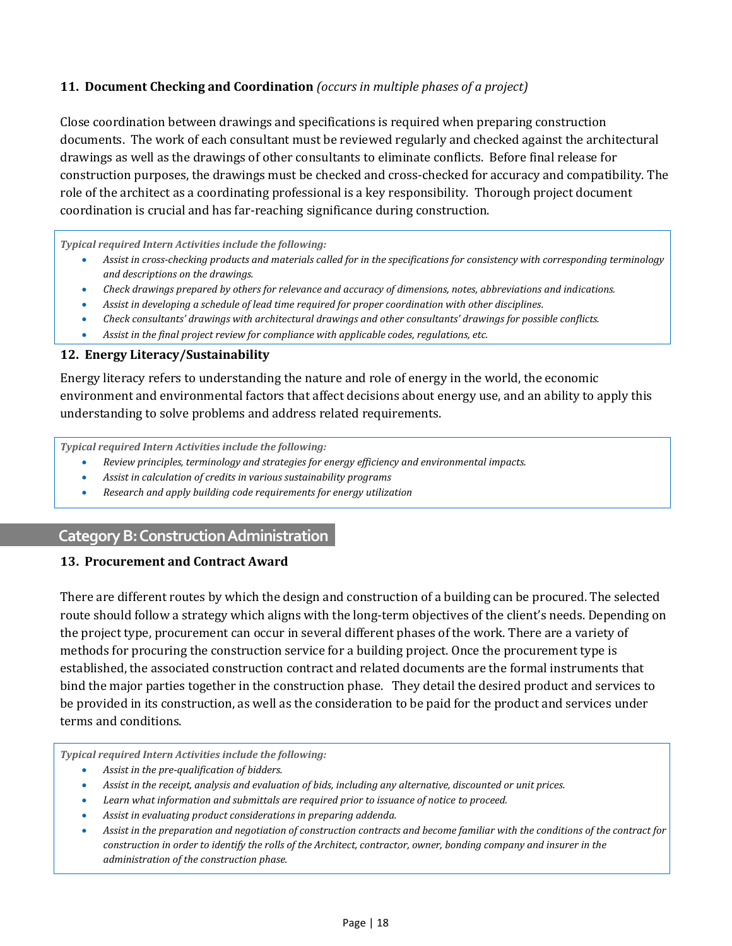## **11. Document Checking and Coordination** *(occurs in multiple phases of a project)*

Close coordination between drawings and specifications is required when preparing construction documents. The work of each consultant must be reviewed regularly and checked against the architectural drawings as well as the drawings of other consultants to eliminate conflicts. Before final release for construction purposes, the drawings must be checked and cross-checked for accuracy and compatibility. The role of the architect as a coordinating professional is a key responsibility. Thorough project document coordination is crucial and has far-reaching significance during construction.

*Typical required Intern Activities include the following:*

- *Assist in cross-checking products and materials called for in the specifications for consistency with corresponding terminology and descriptions on the drawings.*
- *Check drawings prepared by others for relevance and accuracy of dimensions, notes, abbreviations and indications.*
- *Assist in developing a schedule of lead time required for proper coordination with other disciplines.*
- *Check consultants' drawings with architectural drawings and other consultants' drawings for possible conflicts.*
- *Assist in the final project review for compliance with applicable codes, regulations, etc.*

#### **12. Energy Literacy/Sustainability**

Energy literacy refers to understanding the nature and role of energy in the world, the economic environment and environmental factors that affect decisions about energy use, and an ability to apply this understanding to solve problems and address related requirements.

*Typical required Intern Activities include the following:*

- *Review principles, terminology and strategies for energy efficiency and environmental impacts.*
- *Assist in calculation of credits in various sustainability programs*
- *Research and apply building code requirements for energy utilization*

## **C Category B: ConstructionAdministration**

#### **13. Procurement and Contract Award**

There are different routes by which the design and construction of a building can be procured. The selected route should follow a strategy which aligns with the long-term objectives of the client's needs. Depending on the project type, procurement can occur in several different phases of the work. There are a variety of methods for procuring the construction service for a building project. Once the procurement type is established, the associated construction contract and related documents are the formal instruments that bind the major parties together in the construction phase. They detail the desired product and services to be provided in its construction, as well as the consideration to be paid for the product and services under terms and conditions.

- *Assist in the pre-qualification of bidders.*
- *Assist in the receipt, analysis and evaluation of bids, including any alternative, discounted or unit prices.*
- *Learn what information and submittals are required prior to issuance of notice to proceed.*
- *Assist in evaluating product considerations in preparing addenda.*
- *Assist in the preparation and negotiation of construction contracts and become familiar with the conditions of the contract for construction in order to identify the rolls of the Architect, contractor, owner, bonding company and insurer in the administration of the construction phase.*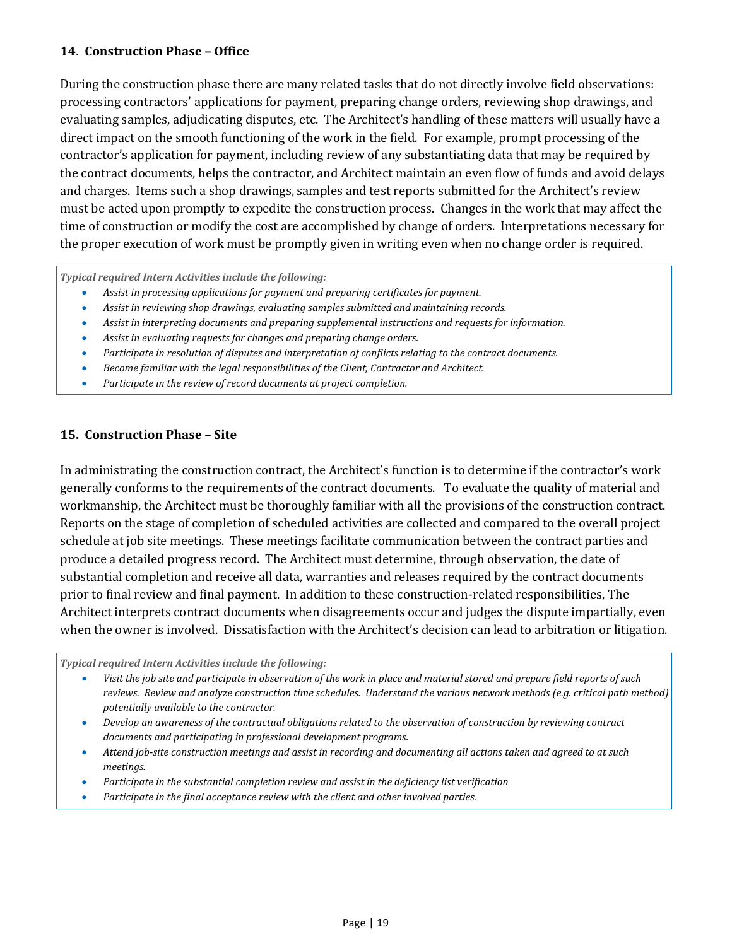### **14. Construction Phase – Office**

During the construction phase there are many related tasks that do not directly involve field observations: processing contractors' applications for payment, preparing change orders, reviewing shop drawings, and evaluating samples, adjudicating disputes, etc. The Architect's handling of these matters will usually have a direct impact on the smooth functioning of the work in the field. For example, prompt processing of the contractor's application for payment, including review of any substantiating data that may be required by the contract documents, helps the contractor, and Architect maintain an even flow of funds and avoid delays and charges. Items such a shop drawings, samples and test reports submitted for the Architect's review must be acted upon promptly to expedite the construction process. Changes in the work that may affect the time of construction or modify the cost are accomplished by change of orders. Interpretations necessary for the proper execution of work must be promptly given in writing even when no change order is required.

*Typical required Intern Activities include the following:*

- *Assist in processing applications for payment and preparing certificates for payment.*
- *Assist in reviewing shop drawings, evaluating samples submitted and maintaining records.*
- *Assist in interpreting documents and preparing supplemental instructions and requests for information.*
- *Assist in evaluating requests for changes and preparing change orders.*
- *Participate in resolution of disputes and interpretation of conflicts relating to the contract documents.*
- *Become familiar with the legal responsibilities of the Client, Contractor and Architect.*
- *Participate in the review of record documents at project completion.*

#### **15. Construction Phase – Site**

In administrating the construction contract, the Architect's function is to determine if the contractor's work generally conforms to the requirements of the contract documents. To evaluate the quality of material and workmanship, the Architect must be thoroughly familiar with all the provisions of the construction contract. Reports on the stage of completion of scheduled activities are collected and compared to the overall project schedule at job site meetings. These meetings facilitate communication between the contract parties and produce a detailed progress record. The Architect must determine, through observation, the date of substantial completion and receive all data, warranties and releases required by the contract documents prior to final review and final payment. In addition to these construction-related responsibilities, The Architect interprets contract documents when disagreements occur and judges the dispute impartially, even when the owner is involved. Dissatisfaction with the Architect's decision can lead to arbitration or litigation.

- *Visit the job site and participate in observation of the work in place and material stored and prepare field reports of such reviews. Review and analyze construction time schedules. Understand the various network methods (e.g. critical path method) potentially available to the contractor.*
- *Develop an awareness of the contractual obligations related to the observation of construction by reviewing contract documents and participating in professional development programs.*
- *Attend job-site construction meetings and assist in recording and documenting all actions taken and agreed to at such meetings.*
- *Participate in the substantial completion review and assist in the deficiency list verification*
- *Participate in the final acceptance review with the client and other involved parties.*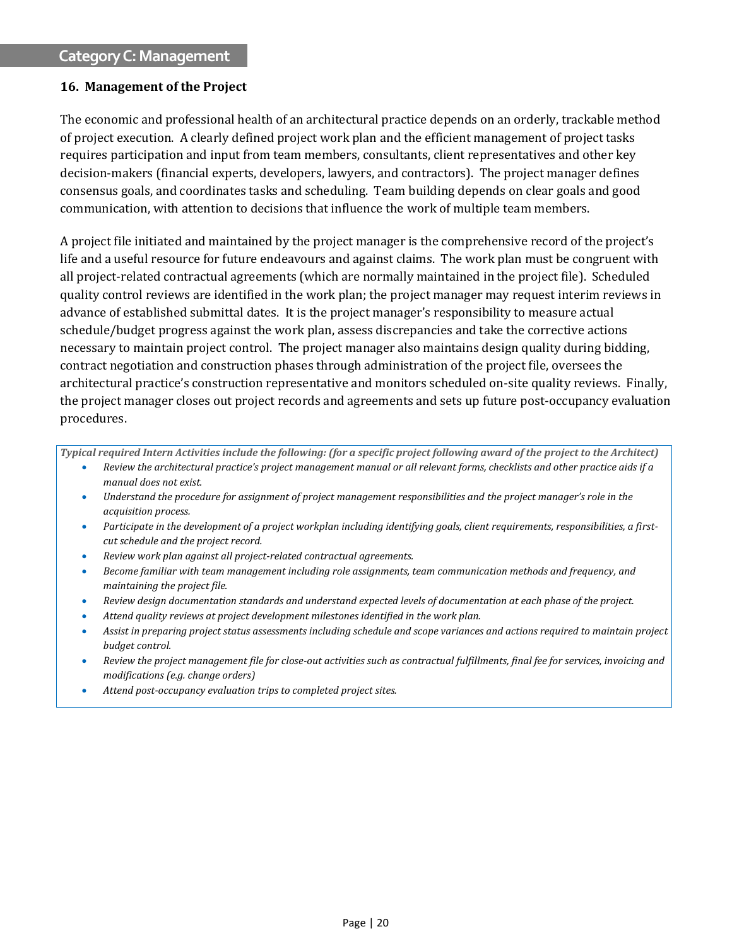#### **16. Management of the Project**

The economic and professional health of an architectural practice depends on an orderly, trackable method of project execution. A clearly defined project work plan and the efficient management of project tasks requires participation and input from team members, consultants, client representatives and other key decision-makers (financial experts, developers, lawyers, and contractors). The project manager defines consensus goals, and coordinates tasks and scheduling. Team building depends on clear goals and good communication, with attention to decisions that influence the work of multiple team members.

A project file initiated and maintained by the project manager is the comprehensive record of the project's life and a useful resource for future endeavours and against claims. The work plan must be congruent with all project-related contractual agreements (which are normally maintained in the project file). Scheduled quality control reviews are identified in the work plan; the project manager may request interim reviews in advance of established submittal dates. It is the project manager's responsibility to measure actual schedule/budget progress against the work plan, assess discrepancies and take the corrective actions necessary to maintain project control. The project manager also maintains design quality during bidding, contract negotiation and construction phases through administration of the project file, oversees the architectural practice's construction representative and monitors scheduled on-site quality reviews. Finally, the project manager closes out project records and agreements and sets up future post-occupancy evaluation procedures.

*Typical required Intern Activities include the following: (for a specific project following award of the project to the Architect)*

- *Review the architectural practice's project management manual or all relevant forms, checklists and other practice aids if a manual does not exist.*
- *Understand the procedure for assignment of project management responsibilities and the project manager's role in the acquisition process.*
- *Participate in the development of a project workplan including identifying goals, client requirements, responsibilities, a firstcut schedule and the project record.*
- *Review work plan against all project-related contractual agreements.*
- *Become familiar with team management including role assignments, team communication methods and frequency, and maintaining the project file.*
- *Review design documentation standards and understand expected levels of documentation at each phase of the project.*
- *Attend quality reviews at project development milestones identified in the work plan.*
- *Assist in preparing project status assessments including schedule and scope variances and actions required to maintain project budget control.*
- *Review the project management file for close-out activities such as contractual fulfillments, final fee for services, invoicing and modifications (e.g. change orders)*
- *Attend post-occupancy evaluation trips to completed project sites.*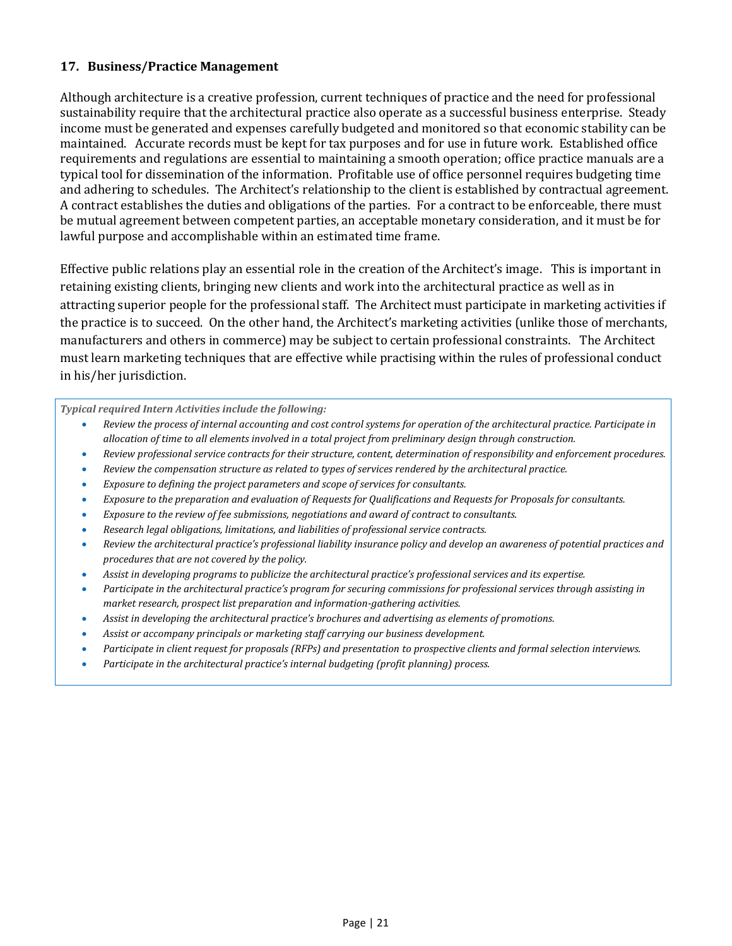### **17. Business/Practice Management**

Although architecture is a creative profession, current techniques of practice and the need for professional sustainability require that the architectural practice also operate as a successful business enterprise. Steady income must be generated and expenses carefully budgeted and monitored so that economic stability can be maintained. Accurate records must be kept for tax purposes and for use in future work. Established office requirements and regulations are essential to maintaining a smooth operation; office practice manuals are a typical tool for dissemination of the information. Profitable use of office personnel requires budgeting time and adhering to schedules. The Architect's relationship to the client is established by contractual agreement. A contract establishes the duties and obligations of the parties. For a contract to be enforceable, there must be mutual agreement between competent parties, an acceptable monetary consideration, and it must be for lawful purpose and accomplishable within an estimated time frame.

Effective public relations play an essential role in the creation of the Architect's image. This is important in retaining existing clients, bringing new clients and work into the architectural practice as well as in attracting superior people for the professional staff. The Architect must participate in marketing activities if the practice is to succeed. On the other hand, the Architect's marketing activities (unlike those of merchants, manufacturers and others in commerce) may be subject to certain professional constraints. The Architect must learn marketing techniques that are effective while practising within the rules of professional conduct in his/her jurisdiction.

- *Review the process of internal accounting and cost control systems for operation of the architectural practice. Participate in allocation of time to all elements involved in a total project from preliminary design through construction.*
- *Review professional service contracts for their structure, content, determination of responsibility and enforcement procedures.*
- *Review the compensation structure as related to types of services rendered by the architectural practice.*
- *Exposure to defining the project parameters and scope of services for consultants.*
- *Exposure to the preparation and evaluation of Requests for Qualifications and Requests for Proposals for consultants.*
- *Exposure to the review of fee submissions, negotiations and award of contract to consultants.*
- *Research legal obligations, limitations, and liabilities of professional service contracts.*
- *Review the architectural practice's professional liability insurance policy and develop an awareness of potential practices and procedures that are not covered by the policy.*
- *Assist in developing programs to publicize the architectural practice's professional services and its expertise.*
- *Participate in the architectural practice's program for securing commissions for professional services through assisting in market research, prospect list preparation and information-gathering activities.*
- *Assist in developing the architectural practice's brochures and advertising as elements of promotions.*
- *Assist or accompany principals or marketing staff carrying our business development.*
- *Participate in client request for proposals (RFPs) and presentation to prospective clients and formal selection interviews.*
- Participate in the architectural practice's internal budgeting (profit planning) process.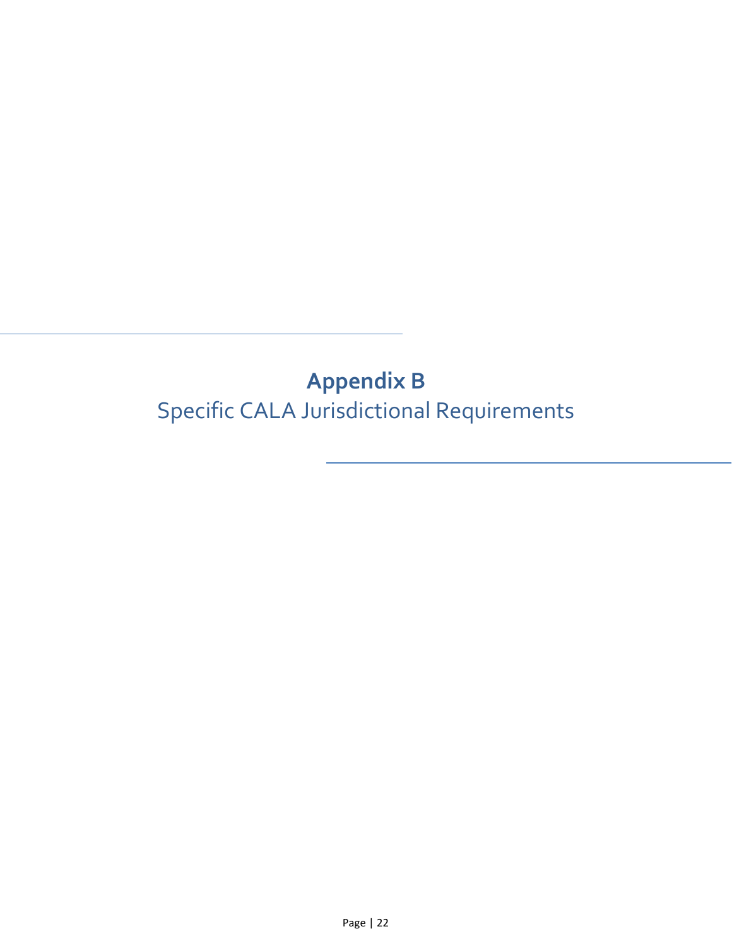# <span id="page-21-0"></span>**Appendix B** Specific CALA Jurisdictional Requirements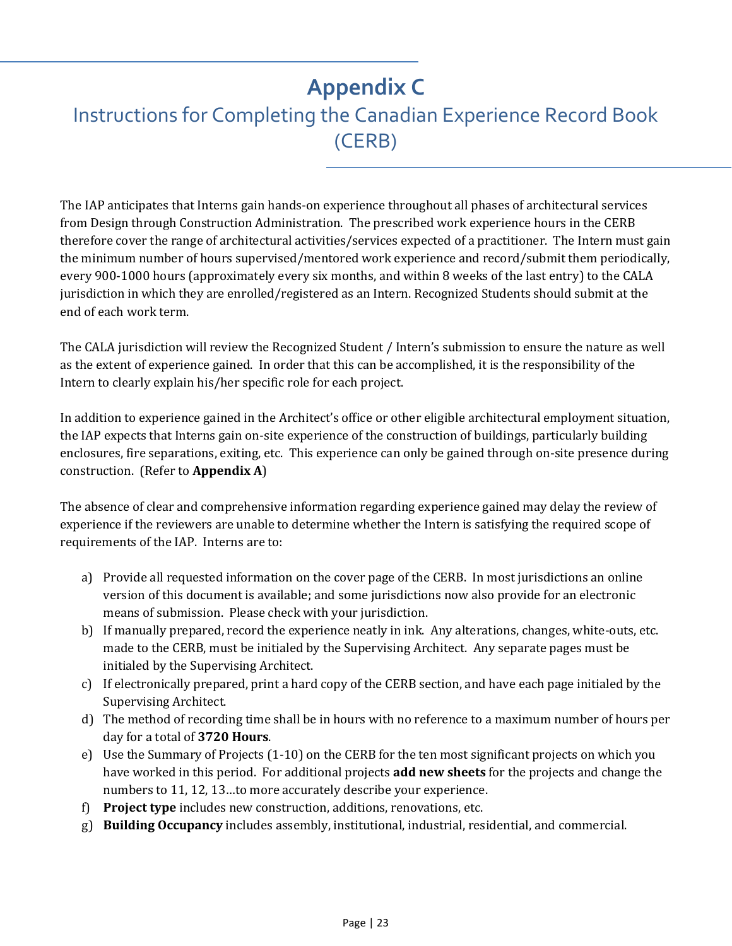## **Appendix C**

## <span id="page-22-0"></span>Instructions for Completing the Canadian Experience Record Book (CERB)

The IAP anticipates that Interns gain hands-on experience throughout all phases of architectural services from Design through Construction Administration. The prescribed work experience hours in the CERB therefore cover the range of architectural activities/services expected of a practitioner. The Intern must gain the minimum number of hours supervised/mentored work experience and record/submit them periodically, every 900-1000 hours (approximately every six months, and within 8 weeks of the last entry) to the CALA jurisdiction in which they are enrolled/registered as an Intern. Recognized Students should submit at the end of each work term.

The CALA jurisdiction will review the Recognized Student / Intern's submission to ensure the nature as well as the extent of experience gained. In order that this can be accomplished, it is the responsibility of the Intern to clearly explain his/her specific role for each project.

In addition to experience gained in the Architect's office or other eligible architectural employment situation, the IAP expects that Interns gain on-site experience of the construction of buildings, particularly building enclosures, fire separations, exiting, etc. This experience can only be gained through on-site presence during construction. (Refer to **Appendix A**)

The absence of clear and comprehensive information regarding experience gained may delay the review of experience if the reviewers are unable to determine whether the Intern is satisfying the required scope of requirements of the IAP. Interns are to:

- a) Provide all requested information on the cover page of the CERB. In most jurisdictions an online version of this document is available; and some jurisdictions now also provide for an electronic means of submission. Please check with your jurisdiction.
- b) If manually prepared, record the experience neatly in ink. Any alterations, changes, white-outs, etc. made to the CERB, must be initialed by the Supervising Architect. Any separate pages must be initialed by the Supervising Architect.
- c) If electronically prepared, print a hard copy of the CERB section, and have each page initialed by the Supervising Architect.
- d) The method of recording time shall be in hours with no reference to a maximum number of hours per day for a total of **3720 Hours**.
- e) Use the Summary of Projects (1-10) on the CERB for the ten most significant projects on which you have worked in this period. For additional projects **add new sheets** for the projects and change the numbers to 11, 12, 13…to more accurately describe your experience.
- f) **Project type** includes new construction, additions, renovations, etc.
- g) **Building Occupancy** includes assembly, institutional, industrial, residential, and commercial.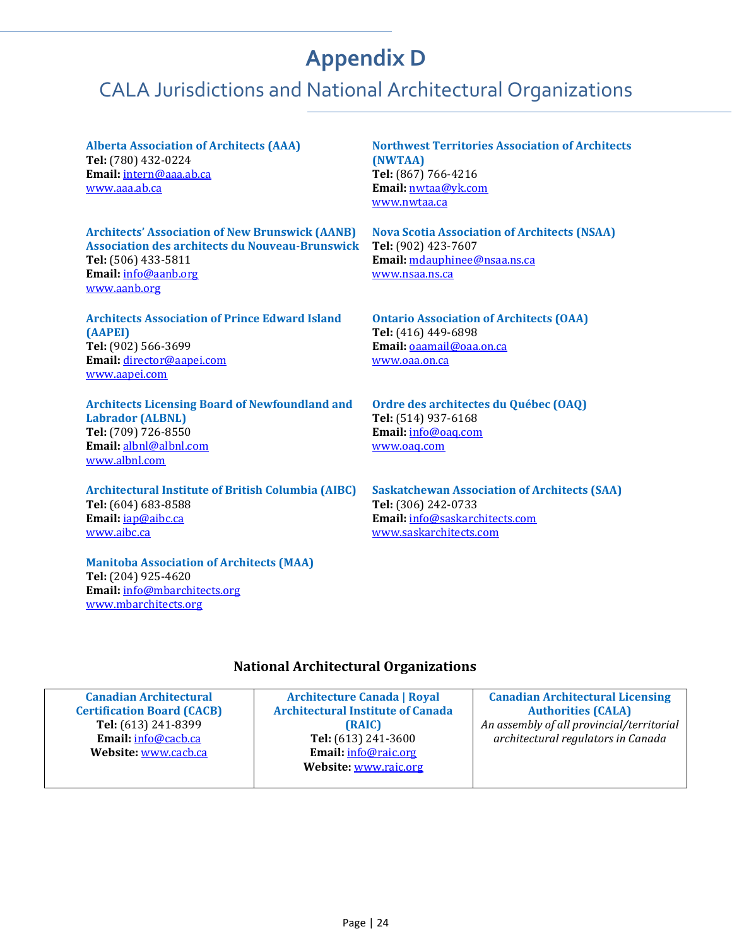## **Appendix D**

## <span id="page-23-0"></span>CALA Jurisdictions and National Architectural Organizations

**Alberta Association of Architects (AAA) Tel:** (780) 432-0224 **Email:** [intern@aaa.ab.ca](mailto:intern@aaa.ab.ca) [www.aaa.ab.ca](http://www.aaa.ab.ca/)

**Architects' Association of New Brunswick (AANB) Association des architects du Nouveau-Brunswick Tel:** (506) 433-5811 **Email:** [info@aanb.org](mailto:info@aanb.org) [www.aanb.org](http://www.aanb.org/)

**Architects Association of Prince Edward Island (AAPEI) Tel:** (902) 566-3699 **Email:** [director@aapei.com](mailto:director@aapei.com) [www.aapei.com](http://www.aapei.com/)

**Architects Licensing Board of Newfoundland and Labrador (ALBNL) Tel:** (709) 726-8550 **Email:** [albnl@albnl.com](mailto:albnl@albnl.com) [www.albnl.com](http://www.albnl.com/)

**Architectural Institute of British Columbia (AIBC) Tel:** (604) 683-8588 **Email:** [iap@aibc.ca](mailto:iap@aibc.ca) [www.aibc.ca](http://www.aibc.ca/)

**Manitoba Association of Architects (MAA) Tel:** (204) 925-4620 **Email:** [info@mbarchitects.org](mailto:info@mbarchitects.org) [www.mbarchitects.org](http://www.mbarchitects.org/)

**Northwest Territories Association of Architects (NWTAA) Tel:** (867) 766-4216 **Email:** [nwtaa@yk.com](mailto:nwtaa@yk.com) [www.nwtaa.ca](http://www.nwtaa.ca/)

**Nova Scotia Association of Architects (NSAA) Tel:** (902) 423-7607 **Email:** [mdauphinee@nsaa.ns.ca](mailto:mdauphinee@nsaa.ns.ca) [www.nsaa.ns.ca](http://www.nsaa.ns.ca/)

**Ontario Association of Architects (OAA) Tel:** (416) 449-6898 **Email:** [oaamail@oaa.on.ca](mailto:oaamail@oaa.on.ca) [www.oaa.on.ca](http://www.oaa.on.ca/)

**Ordre des architectes du Québec (OAQ) Tel:** (514) 937-6168 **Email:** [info@oaq.com](mailto:info@oaq.com) [www.oaq.com](http://www.oaq.com/)

**Saskatchewan Association of Architects (SAA) Tel:** (306) 242-0733 **Email:** [info@saskarchitects.com](mailto:info@saskarchitects.com) [www.saskarchitects.com](http://www.saskarchitects.com/)

### **National Architectural Organizations**

| <b>Canadian Architectural</b>     | <b>Architecture Canada   Royal</b>       | <b>Canadian Architectural Licensing</b>   |
|-----------------------------------|------------------------------------------|-------------------------------------------|
| <b>Certification Board (CACB)</b> | <b>Architectural Institute of Canada</b> | <b>Authorities (CALA)</b>                 |
| Tel: (613) 241-8399               | (RAIC)                                   | An assembly of all provincial/territorial |
| Email: info@cacb.ca               | Tel: (613) 241-3600                      | architectural regulators in Canada        |
| Website: www.cacb.ca              | Email: info@raic.org                     |                                           |
|                                   | Website: www.raic.org                    |                                           |
|                                   |                                          |                                           |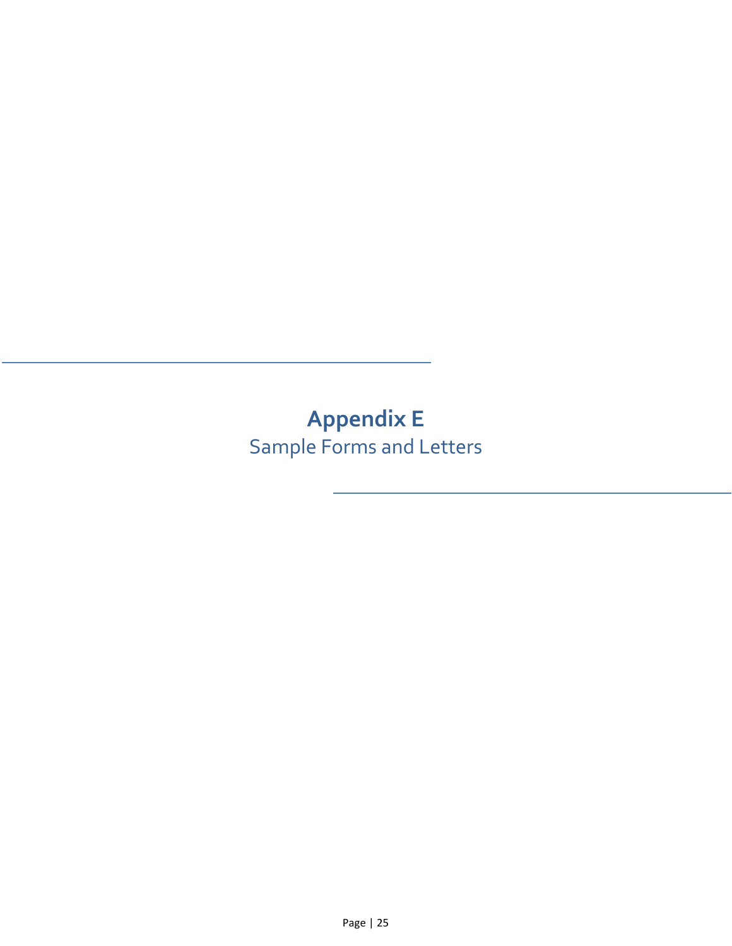<span id="page-24-0"></span>**Appendix E** Sample Forms and Letters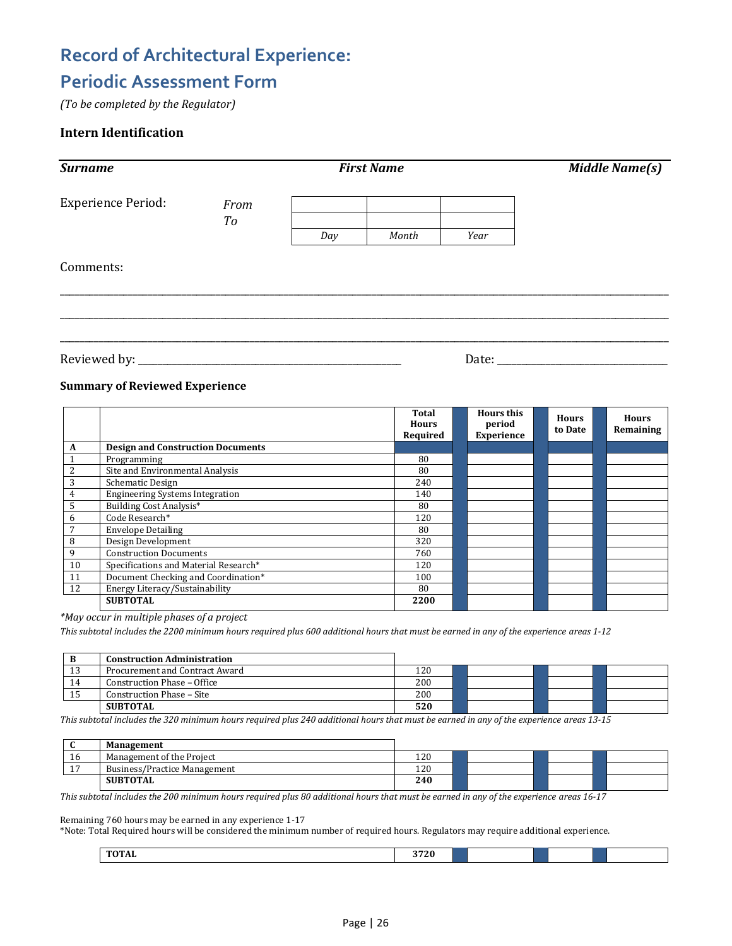## **Record of Architectural Experience:**

## **Periodic Assessment Form**

*(To be completed by the Regulator)*

#### **Intern Identification**

| <b>First Name</b><br><b>Surname</b> |                                                                       |     |                              |                             |                         | <b>Middle Name(s)</b>     |
|-------------------------------------|-----------------------------------------------------------------------|-----|------------------------------|-----------------------------|-------------------------|---------------------------|
| <b>Experience Period:</b>           | From<br>To                                                            | Day | Month                        | Year                        |                         |                           |
| Comments:                           |                                                                       |     |                              |                             |                         |                           |
|                                     |                                                                       |     |                              |                             |                         |                           |
|                                     | <b>Summary of Reviewed Experience</b>                                 |     |                              |                             |                         |                           |
|                                     |                                                                       |     | <b>Total</b><br><b>Hours</b> | <b>Hours this</b><br>period | <b>Hours</b><br>to Date | <b>Hours</b><br>Remaining |
| $\mathbf{A}$                        | <b>Design and Construction Documents</b>                              |     | Required                     | Experience                  |                         |                           |
| $\mathbf{1}$<br>Programming         |                                                                       |     | 80                           |                             |                         |                           |
| $\overline{2}$                      | Site and Environmental Analysis                                       |     | 80                           |                             |                         |                           |
| 3<br>Schematic Design               |                                                                       |     | 240                          |                             |                         |                           |
| $\overline{4}$                      | <b>Engineering Systems Integration</b>                                |     | 140                          |                             |                         |                           |
| 5                                   | Building Cost Analysis*                                               |     | 80                           |                             |                         |                           |
| Code Research*<br>6                 |                                                                       |     | 120                          |                             |                         |                           |
| 7                                   | <b>Envelope Detailing</b>                                             |     | 80                           |                             |                         |                           |
| 8                                   | Design Development                                                    |     | 320                          |                             |                         |                           |
| 9                                   | <b>Construction Documents</b>                                         |     | 760                          |                             |                         |                           |
| 10                                  | Specifications and Material Research*                                 |     | 120                          |                             |                         |                           |
| 11<br>12                            | Document Checking and Coordination*<br>Energy Literacy/Sustainability |     | 100<br>80                    |                             |                         |                           |

*\*May occur in multiple phases of a project*

*This subtotal includes the 2200 minimum hours required plus 600 additional hours that must be earned in any of the experience areas 1-12*

|    | <b>Construction Administration</b> |     |  |  |
|----|------------------------------------|-----|--|--|
| 13 | Procurement and Contract Award     | 120 |  |  |
| 14 | Construction Phase - Office        | 200 |  |  |
| 15 | Construction Phase - Site          | 200 |  |  |
|    | <b>SUBTOTAL</b>                    | 520 |  |  |

*This subtotal includes the 320 minimum hours required plus 240 additional hours that must be earned in any of the experience areas 13-15*

|    | <b>Management</b>            |              |  |  |  |
|----|------------------------------|--------------|--|--|--|
| 16 | Management of the Project    | 1 ን በ<br>⊥∠∪ |  |  |  |
| л. | Business/Practice Management | 120<br>14 U  |  |  |  |
|    | <b>SUBTOTAL</b>              | 240          |  |  |  |

*This subtotal includes the 200 minimum hours required plus 80 additional hours that must be earned in any of the experience areas 16-17*

Remaining 760 hours may be earned in any experience 1-17

\*Note: Total Required hours will be considered the minimum number of required hours. Regulators may require additional experience.

| 0.500<br><b>TOTAL</b><br>TOTAL<br>3720<br>_______ |  |  |  |
|---------------------------------------------------|--|--|--|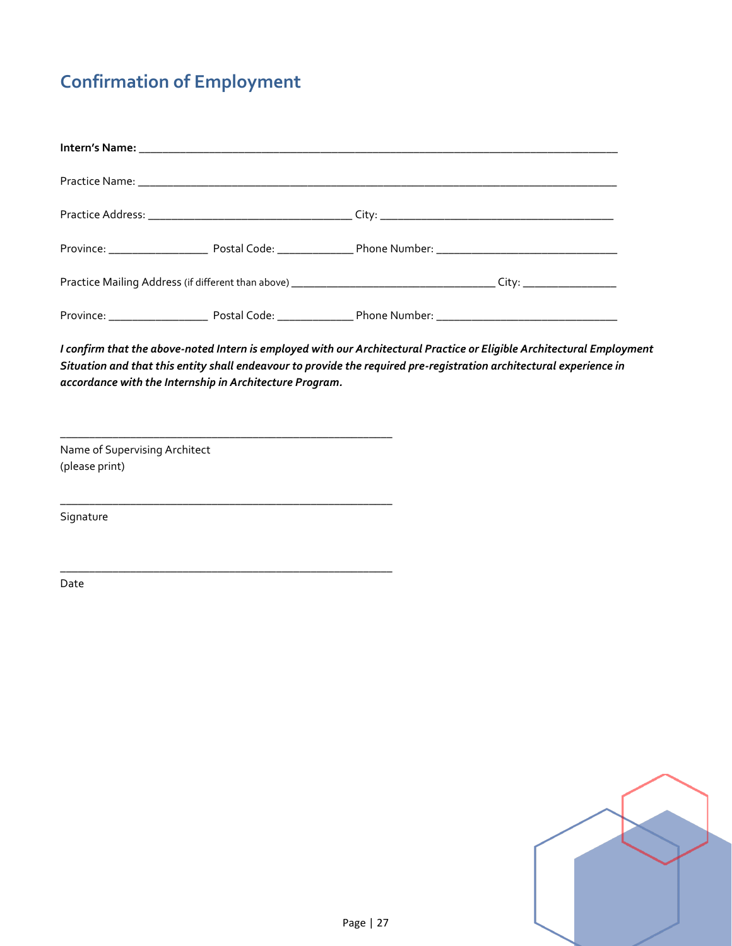## **Confirmation of Employment**

| Practice Mailing Address (if different than above) __________________________________City: ___________________ |  |
|----------------------------------------------------------------------------------------------------------------|--|
|                                                                                                                |  |

*I confirm that the above-noted Intern is employed with our Architectural Practice or Eligible Architectural Employment Situation and that this entity shall endeavour to provide the required pre-registration architectural experience in accordance with the Internship in Architecture Program.*

Name of Supervising Architect (please print)

**\_\_\_\_\_\_\_\_\_\_\_\_\_\_\_\_\_\_\_\_\_\_\_\_\_\_\_\_\_\_\_\_\_\_\_\_\_\_\_\_\_\_\_\_\_\_\_\_\_\_\_\_\_\_\_\_\_**

\_\_\_\_\_\_\_\_\_\_\_\_\_\_\_\_\_\_\_\_\_\_\_\_\_\_\_\_\_\_\_\_\_\_\_\_\_\_\_\_\_\_\_\_\_\_\_\_\_\_\_\_\_\_\_\_\_

\_\_\_\_\_\_\_\_\_\_\_\_\_\_\_\_\_\_\_\_\_\_\_\_\_\_\_\_\_\_\_\_\_\_\_\_\_\_\_\_\_\_\_\_\_\_\_\_\_\_\_\_\_\_\_\_\_

Signature

Date

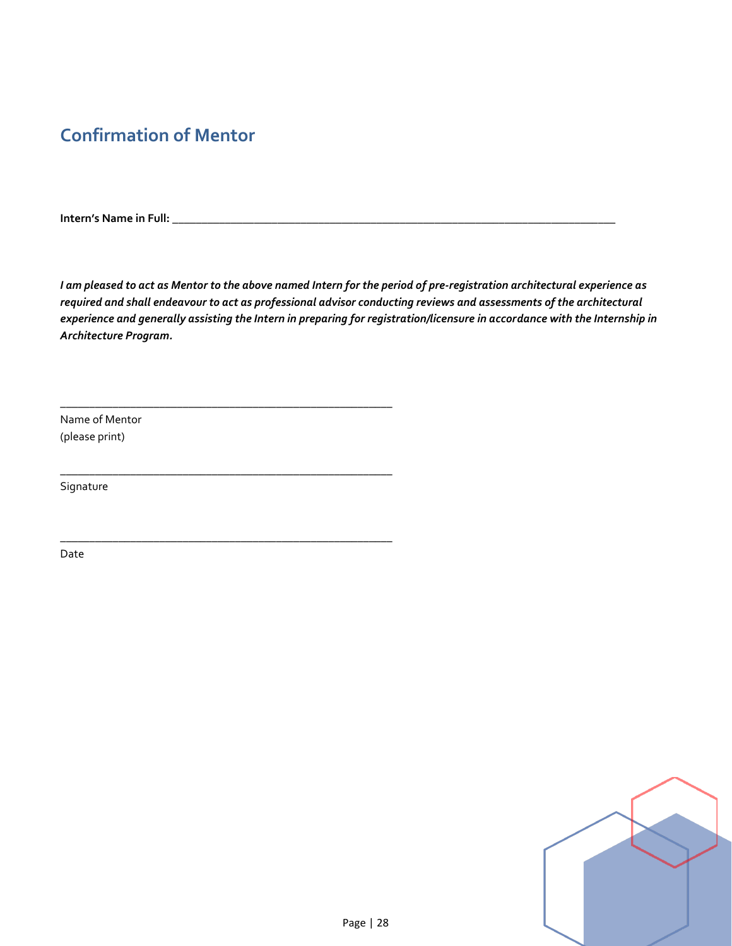## **Confirmation of Mentor**

**\_\_\_\_\_\_\_\_\_\_\_\_\_\_\_\_\_\_\_\_\_\_\_\_\_\_\_\_\_\_\_\_\_\_\_\_\_\_\_\_\_\_\_\_\_\_\_\_\_\_\_\_\_\_\_\_\_**

\_\_\_\_\_\_\_\_\_\_\_\_\_\_\_\_\_\_\_\_\_\_\_\_\_\_\_\_\_\_\_\_\_\_\_\_\_\_\_\_\_\_\_\_\_\_\_\_\_\_\_\_\_\_\_\_\_

\_\_\_\_\_\_\_\_\_\_\_\_\_\_\_\_\_\_\_\_\_\_\_\_\_\_\_\_\_\_\_\_\_\_\_\_\_\_\_\_\_\_\_\_\_\_\_\_\_\_\_\_\_\_\_\_\_

**Intern's Name in Full: \_\_\_\_\_\_\_\_\_\_\_\_\_\_\_\_\_\_\_\_\_\_\_\_\_\_\_\_\_\_\_\_\_\_\_\_\_\_\_\_\_\_\_\_\_\_\_\_\_\_\_\_\_\_\_\_\_\_\_\_\_\_\_\_\_\_\_\_\_\_\_\_\_\_\_\_**

*I am pleased to act as Mentor to the above named Intern for the period of pre-registration architectural experience as required and shall endeavour to act as professional advisor conducting reviews and assessments of the architectural experience and generally assisting the Intern in preparing for registration/licensure in accordance with the Internship in Architecture Program.*

Name of Mentor (please print)

Signature

Date

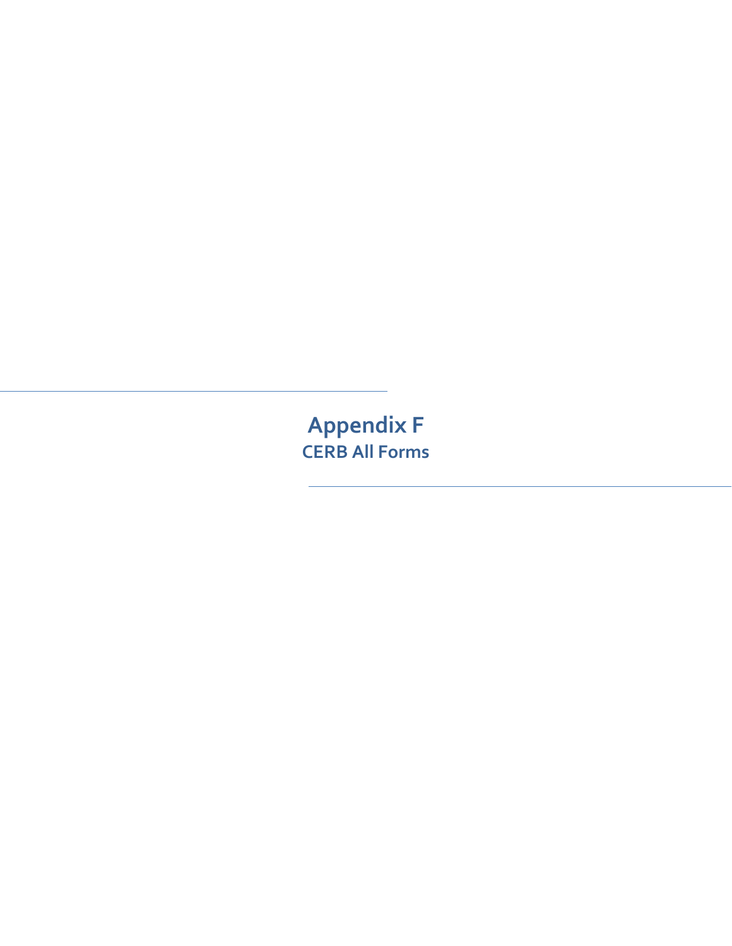<span id="page-28-0"></span>**Appendix F CERB All Forms**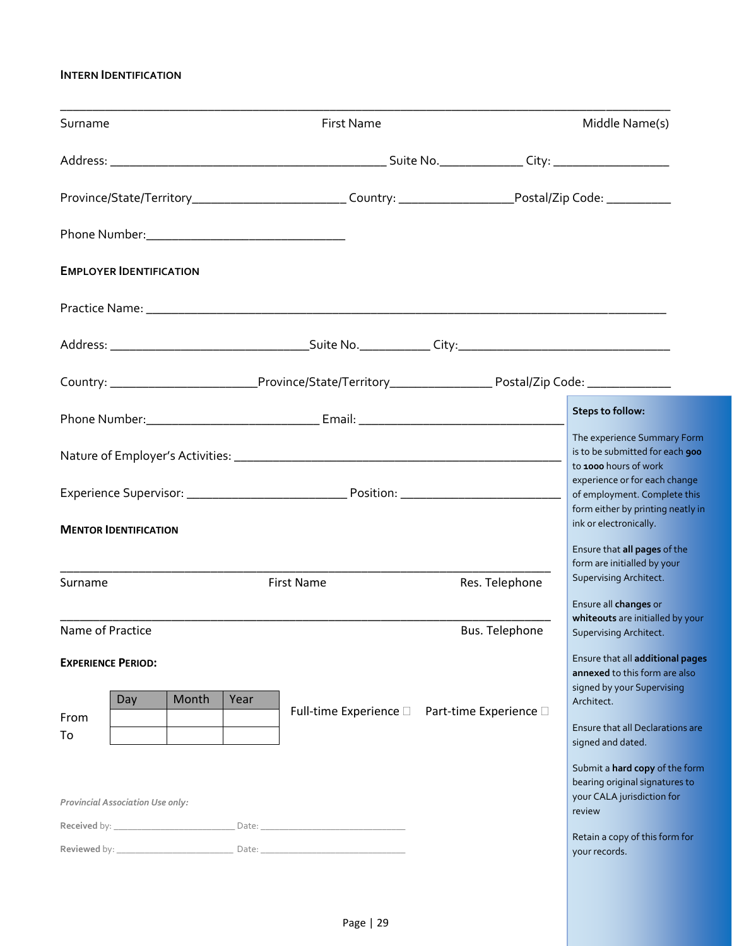## **INTERN IDENTIFICATION**

| Surname                                   |      | First Name                                    |                | Middle Name(s)                                                                                                       |
|-------------------------------------------|------|-----------------------------------------------|----------------|----------------------------------------------------------------------------------------------------------------------|
|                                           |      |                                               |                |                                                                                                                      |
|                                           |      |                                               |                | Province/State/Territory_______________________________Country: _______________________Postal/Zip Code: ____________ |
|                                           |      |                                               |                |                                                                                                                      |
| <b>EMPLOYER IDENTIFICATION</b>            |      |                                               |                |                                                                                                                      |
|                                           |      |                                               |                |                                                                                                                      |
|                                           |      |                                               |                |                                                                                                                      |
|                                           |      |                                               |                |                                                                                                                      |
|                                           |      |                                               |                | <b>Steps to follow:</b>                                                                                              |
|                                           |      |                                               |                | The experience Summary Form<br>is to be submitted for each 900<br>to 1000 hours of work                              |
|                                           |      |                                               |                | experience or for each change<br>of employment. Complete this<br>form either by printing neatly in                   |
| <b>MENTOR IDENTIFICATION</b>              |      |                                               |                | ink or electronically.                                                                                               |
| Surname                                   |      | <b>First Name</b>                             | Res. Telephone | Ensure that all pages of the<br>form are initialled by your<br>Supervising Architect.                                |
|                                           |      |                                               |                | Ensure all changes or                                                                                                |
| Name of Practice                          |      |                                               | Bus. Telephone | whiteouts are initialled by your<br>Supervising Architect.                                                           |
| <b>EXPERIENCE PERIOD:</b><br>Month<br>Day | Year |                                               |                | Ensure that all additional pages<br>annexed to this form are also<br>signed by your Supervising<br>Architect.        |
| From<br>To                                |      | Full-time Experience □ Part-time Experience □ |                | Ensure that all Declarations are<br>signed and dated.                                                                |
| Provincial Association Use only:          |      |                                               |                | Submit a hard copy of the form<br>bearing original signatures to<br>your CALA jurisdiction for<br>review             |
|                                           |      |                                               |                | Retain a copy of this form for                                                                                       |
|                                           |      |                                               |                | your records.                                                                                                        |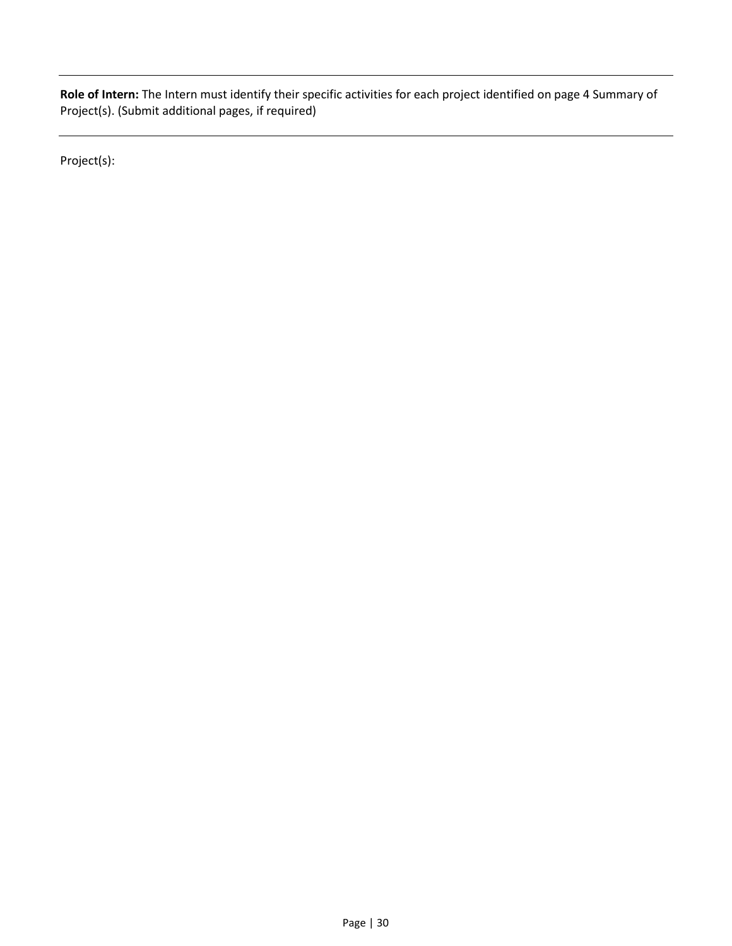**Role of Intern:** The Intern must identify their specific activities for each project identified on page 4 Summary of Project(s). (Submit additional pages, if required)

Project(s):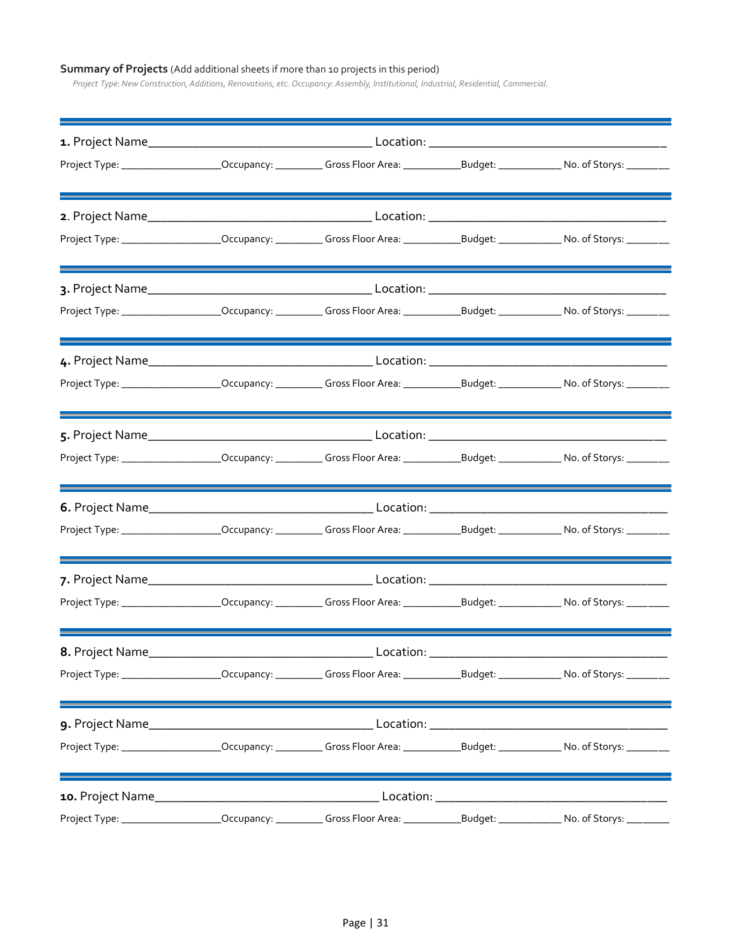#### **Summary of Projects** (Add additional sheets if more than 10 projects in this period)

*Project Type: New Construction,Additions, Renovations, etc. Occupancy: Assembly, Institutional, Industrial, Residential, Commercial.*

|                  |                                                                                                                        | Project Type: _____________________Occupancy: ____________Gross Floor Area: _____________Budget: _____________ No. of Storys: ________        |
|------------------|------------------------------------------------------------------------------------------------------------------------|-----------------------------------------------------------------------------------------------------------------------------------------------|
|                  | <u> 2000 - Andreas Andreas Andreas Andreas Andreas Andreas Andreas Andreas Andreas Andreas Andreas Andreas Andre</u>   |                                                                                                                                               |
|                  |                                                                                                                        | Project Type: ____________________Occupancy: ___________Gross Floor Area: _____________Budget: ______________ No. of Storys: _________        |
|                  |                                                                                                                        |                                                                                                                                               |
|                  |                                                                                                                        | Project Type: _____________________Occupancy: ____________Gross Floor Area: ______________Budget: __________________No. of Storys: __________ |
|                  | a sa mga banya ng mga pag-ang pag-ang pag-ang pag-ang pag-ang pag-ang pag-ang pag-ang pag-ang pag-ang pag-ang          |                                                                                                                                               |
|                  |                                                                                                                        | Project Type: _____________________Occupancy: ____________Gross Floor Area: ______________Budget: ______________ No. of Storys: _______       |
|                  | ,我们也不会有什么。""我们的人,我们也不会有什么?""我们的人,我们也不会有什么?""我们的人,我们也不会有什么?""我们的人,我们也不会有什么?""我们的人                                       |                                                                                                                                               |
|                  |                                                                                                                        | Project Type: _____________________Occupancy: ____________Gross Floor Area: _____________Budget: _____________ No. of Storys: ________        |
|                  |                                                                                                                        | ,我们也不会有什么。""我们的人,我们也不会有什么?""我们的人,我们也不会有什么?""我们的人,我们也不会有什么?""我们的人,我们也不会有什么?""我们的人                                                              |
|                  |                                                                                                                        | Project Type: ____________________Occupancy: ___________Gross Floor Area: ____________Budget: _____________ No. of Storys: _________          |
|                  | ,我们也不能会在这里,我们的人们就会在这里,我们也不会在这里,我们也不会不会在这里,我们也不会不会不会。""我们,我们也不会不会不会。""我们,我们也不会不会不                                       |                                                                                                                                               |
|                  |                                                                                                                        | Project Type: _____________________Occupancy: ____________Gross Floor Area: _____________Budget: _____________ No. of Storys: _________       |
| 8. Project Name_ |                                                                                                                        |                                                                                                                                               |
|                  |                                                                                                                        | Project Type: ______________________Occupancy: ____________Gross Floor Area: ______________Budget: _______________No. of Storys: ________     |
|                  | ,我们也不能会在这里,我们的人们就会在这里,我们也不会不会不会。""我们,我们也不会不会不会。""我们,我们也不会不会不会。""我们,我们的人们,我们也不会不会                                       |                                                                                                                                               |
|                  |                                                                                                                        | Project Type: ____________________Occupancy: ____________Gross Floor Area: _____________Budget: _____________No. of Storys: _________         |
|                  | <u> 1989 - Johann Stoff, deutscher Stoffen und der Stoffen und der Stoffen und der Stoffen und der Stoffen und der</u> |                                                                                                                                               |
|                  |                                                                                                                        | Project Type: _______________________Occupancy: ____________Gross Floor Area: ______________Budget: ________________No. of Storys: _________  |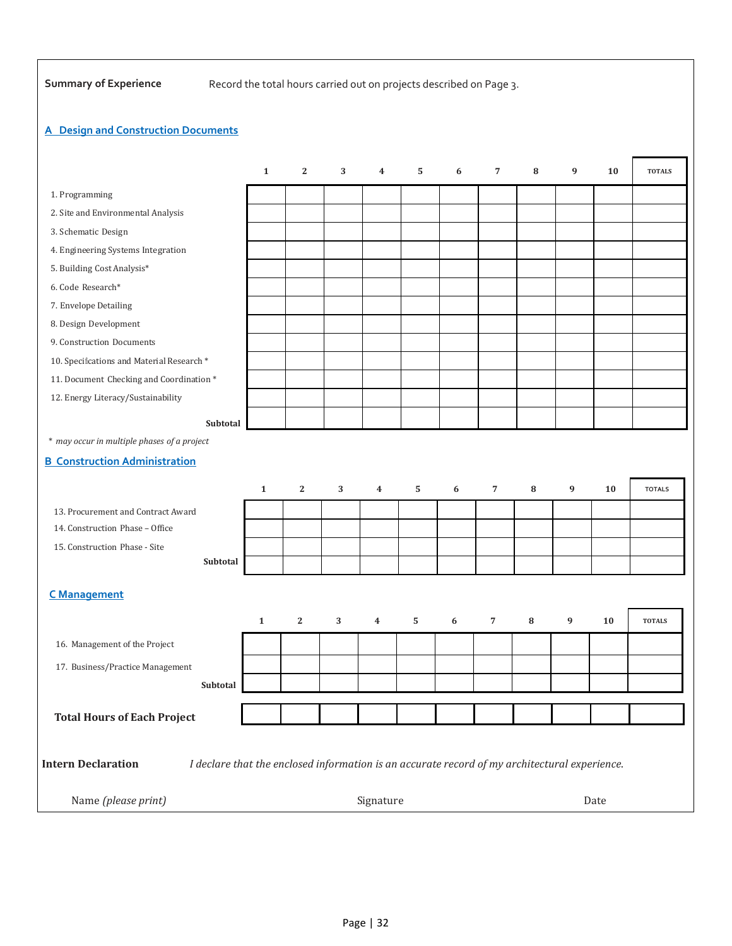**Summary of Experience** Record the total hours carried out on projects described on Page 3.

#### **A Design and Construction Documents**

|                                             |          | $\mathbf{1}$ | $\mathbf{2}$                                                                                  | 3 | $\overline{\mathbf{4}}$ | 5 | 6 | 7              | 8 | 9 | 10   | <b>TOTALS</b> |
|---------------------------------------------|----------|--------------|-----------------------------------------------------------------------------------------------|---|-------------------------|---|---|----------------|---|---|------|---------------|
| 1. Programming                              |          |              |                                                                                               |   |                         |   |   |                |   |   |      |               |
| 2. Site and Environmental Analysis          |          |              |                                                                                               |   |                         |   |   |                |   |   |      |               |
| 3. Schematic Design                         |          |              |                                                                                               |   |                         |   |   |                |   |   |      |               |
| 4. Engineering Systems Integration          |          |              |                                                                                               |   |                         |   |   |                |   |   |      |               |
| 5. Building Cost Analysis*                  |          |              |                                                                                               |   |                         |   |   |                |   |   |      |               |
| 6. Code Research*                           |          |              |                                                                                               |   |                         |   |   |                |   |   |      |               |
| 7. Envelope Detailing                       |          |              |                                                                                               |   |                         |   |   |                |   |   |      |               |
| 8. Design Development                       |          |              |                                                                                               |   |                         |   |   |                |   |   |      |               |
| 9. Construction Documents                   |          |              |                                                                                               |   |                         |   |   |                |   |   |      |               |
| 10. Specifications and Material Research *  |          |              |                                                                                               |   |                         |   |   |                |   |   |      |               |
| 11. Document Checking and Coordination*     |          |              |                                                                                               |   |                         |   |   |                |   |   |      |               |
| 12. Energy Literacy/Sustainability          |          |              |                                                                                               |   |                         |   |   |                |   |   |      |               |
|                                             | Subtotal |              |                                                                                               |   |                         |   |   |                |   |   |      |               |
| * may occur in multiple phases of a project |          |              |                                                                                               |   |                         |   |   |                |   |   |      |               |
| <b>B Construction Administration</b>        |          |              |                                                                                               |   |                         |   |   |                |   |   |      |               |
|                                             |          |              |                                                                                               |   |                         |   |   |                |   |   |      |               |
|                                             |          | $\mathbf{1}$ | $\mathbf{2}$                                                                                  | 3 | $\overline{4}$          | 5 | 6 | $\overline{7}$ | 8 | 9 | 10   | <b>TOTALS</b> |
| 13. Procurement and Contract Award          |          |              |                                                                                               |   |                         |   |   |                |   |   |      |               |
| 14. Construction Phase - Office             |          |              |                                                                                               |   |                         |   |   |                |   |   |      |               |
| 15. Construction Phase - Site               |          |              |                                                                                               |   |                         |   |   |                |   |   |      |               |
|                                             | Subtotal |              |                                                                                               |   |                         |   |   |                |   |   |      |               |
|                                             |          |              |                                                                                               |   |                         |   |   |                |   |   |      |               |
| <b>C</b> Management                         |          |              |                                                                                               |   |                         |   |   |                |   |   |      |               |
|                                             |          | $\mathbf{1}$ | 2                                                                                             | 3 | $\boldsymbol{4}$        | 5 | 6 | 7              | 8 | 9 | 10   | <b>TOTALS</b> |
| 16. Management of the Project               |          |              |                                                                                               |   |                         |   |   |                |   |   |      |               |
|                                             |          |              |                                                                                               |   |                         |   |   |                |   |   |      |               |
| 17. Business/Practice Management            | Subtotal |              |                                                                                               |   |                         |   |   |                |   |   |      |               |
|                                             |          |              |                                                                                               |   |                         |   |   |                |   |   |      |               |
| <b>Total Hours of Each Project</b>          |          |              |                                                                                               |   |                         |   |   |                |   |   |      |               |
|                                             |          |              |                                                                                               |   |                         |   |   |                |   |   |      |               |
|                                             |          |              |                                                                                               |   |                         |   |   |                |   |   |      |               |
| <b>Intern Declaration</b>                   |          |              | I declare that the enclosed information is an accurate record of my architectural experience. |   |                         |   |   |                |   |   |      |               |
|                                             |          |              |                                                                                               |   |                         |   |   |                |   |   |      |               |
| Name (please print)                         |          |              |                                                                                               |   | Signature               |   |   |                |   |   | Date |               |